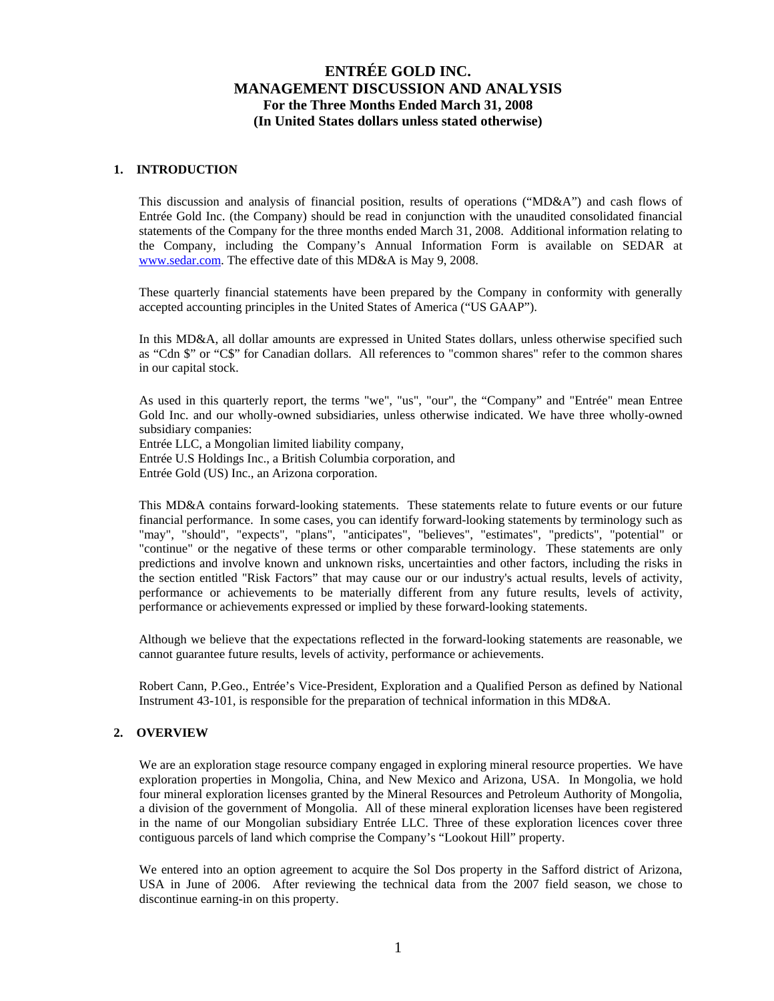#### **1. INTRODUCTION**

This discussion and analysis of financial position, results of operations ("MD&A") and cash flows of Entrée Gold Inc. (the Company) should be read in conjunction with the unaudited consolidated financial statements of the Company for the three months ended March 31, 2008. Additional information relating to the Company, including the Company's Annual Information Form is available on SEDAR at www.sedar.com. The effective date of this MD&A is May 9, 2008.

These quarterly financial statements have been prepared by the Company in conformity with generally accepted accounting principles in the United States of America ("US GAAP").

In this MD&A, all dollar amounts are expressed in United States dollars, unless otherwise specified such as "Cdn \$" or "C\$" for Canadian dollars. All references to "common shares" refer to the common shares in our capital stock.

As used in this quarterly report, the terms "we", "us", "our", the "Company" and "Entrée" mean Entree Gold Inc. and our wholly-owned subsidiaries, unless otherwise indicated. We have three wholly-owned subsidiary companies:

Entrée LLC, a Mongolian limited liability company, Entrée U.S Holdings Inc., a British Columbia corporation, and Entrée Gold (US) Inc., an Arizona corporation.

This MD&A contains forward-looking statements. These statements relate to future events or our future financial performance. In some cases, you can identify forward-looking statements by terminology such as "may", "should", "expects", "plans", "anticipates", "believes", "estimates", "predicts", "potential" or "continue" or the negative of these terms or other comparable terminology. These statements are only predictions and involve known and unknown risks, uncertainties and other factors, including the risks in the section entitled "Risk Factors" that may cause our or our industry's actual results, levels of activity, performance or achievements to be materially different from any future results, levels of activity, performance or achievements expressed or implied by these forward-looking statements.

Although we believe that the expectations reflected in the forward-looking statements are reasonable, we cannot guarantee future results, levels of activity, performance or achievements.

Robert Cann, P.Geo., Entrée's Vice-President, Exploration and a Qualified Person as defined by National Instrument 43-101, is responsible for the preparation of technical information in this MD&A.

#### **2. OVERVIEW**

We are an exploration stage resource company engaged in exploring mineral resource properties. We have exploration properties in Mongolia, China, and New Mexico and Arizona, USA. In Mongolia, we hold four mineral exploration licenses granted by the Mineral Resources and Petroleum Authority of Mongolia, a division of the government of Mongolia. All of these mineral exploration licenses have been registered in the name of our Mongolian subsidiary Entrée LLC. Three of these exploration licences cover three contiguous parcels of land which comprise the Company's "Lookout Hill" property.

We entered into an option agreement to acquire the Sol Dos property in the Safford district of Arizona, USA in June of 2006. After reviewing the technical data from the 2007 field season, we chose to discontinue earning-in on this property.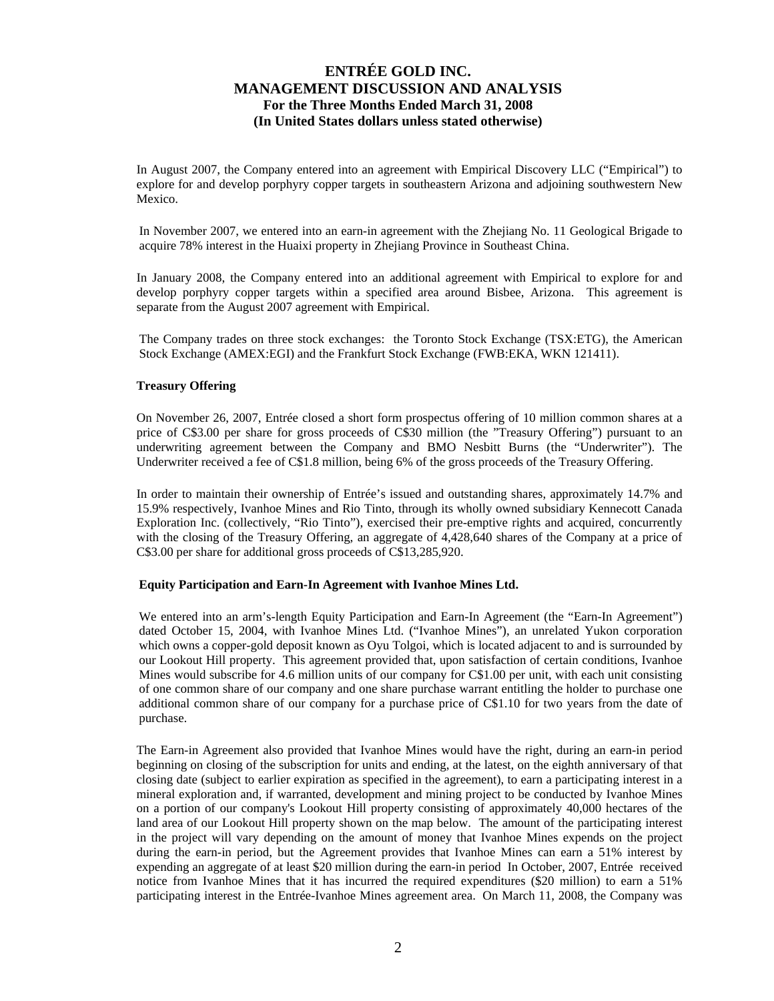In August 2007, the Company entered into an agreement with Empirical Discovery LLC ("Empirical") to explore for and develop porphyry copper targets in southeastern Arizona and adjoining southwestern New Mexico.

In November 2007, we entered into an earn-in agreement with the Zhejiang No. 11 Geological Brigade to acquire 78% interest in the Huaixi property in Zhejiang Province in Southeast China.

In January 2008, the Company entered into an additional agreement with Empirical to explore for and develop porphyry copper targets within a specified area around Bisbee, Arizona. This agreement is separate from the August 2007 agreement with Empirical.

The Company trades on three stock exchanges: the Toronto Stock Exchange (TSX:ETG), the American Stock Exchange (AMEX:EGI) and the Frankfurt Stock Exchange (FWB:EKA, WKN 121411).

### **Treasury Offering**

On November 26, 2007, Entrée closed a short form prospectus offering of 10 million common shares at a price of C\$3.00 per share for gross proceeds of C\$30 million (the "Treasury Offering") pursuant to an underwriting agreement between the Company and BMO Nesbitt Burns (the "Underwriter"). The Underwriter received a fee of C\$1.8 million, being 6% of the gross proceeds of the Treasury Offering.

In order to maintain their ownership of Entrée's issued and outstanding shares, approximately 14.7% and 15.9% respectively, Ivanhoe Mines and Rio Tinto, through its wholly owned subsidiary Kennecott Canada Exploration Inc. (collectively, "Rio Tinto"), exercised their pre-emptive rights and acquired, concurrently with the closing of the Treasury Offering, an aggregate of 4,428,640 shares of the Company at a price of C\$3.00 per share for additional gross proceeds of C\$13,285,920.

#### **Equity Participation and Earn-In Agreement with Ivanhoe Mines Ltd.**

We entered into an arm's-length Equity Participation and Earn-In Agreement (the "Earn-In Agreement") dated October 15, 2004, with Ivanhoe Mines Ltd. ("Ivanhoe Mines"), an unrelated Yukon corporation which owns a copper-gold deposit known as Oyu Tolgoi, which is located adjacent to and is surrounded by our Lookout Hill property. This agreement provided that, upon satisfaction of certain conditions, Ivanhoe Mines would subscribe for 4.6 million units of our company for C\$1.00 per unit, with each unit consisting of one common share of our company and one share purchase warrant entitling the holder to purchase one additional common share of our company for a purchase price of C\$1.10 for two years from the date of purchase.

The Earn-in Agreement also provided that Ivanhoe Mines would have the right, during an earn-in period beginning on closing of the subscription for units and ending, at the latest, on the eighth anniversary of that closing date (subject to earlier expiration as specified in the agreement), to earn a participating interest in a mineral exploration and, if warranted, development and mining project to be conducted by Ivanhoe Mines on a portion of our company's Lookout Hill property consisting of approximately 40,000 hectares of the land area of our Lookout Hill property shown on the map below. The amount of the participating interest in the project will vary depending on the amount of money that Ivanhoe Mines expends on the project during the earn-in period, but the Agreement provides that Ivanhoe Mines can earn a 51% interest by expending an aggregate of at least \$20 million during the earn-in period In October, 2007, Entrée received notice from Ivanhoe Mines that it has incurred the required expenditures (\$20 million) to earn a 51% participating interest in the Entrée-Ivanhoe Mines agreement area. On March 11, 2008, the Company was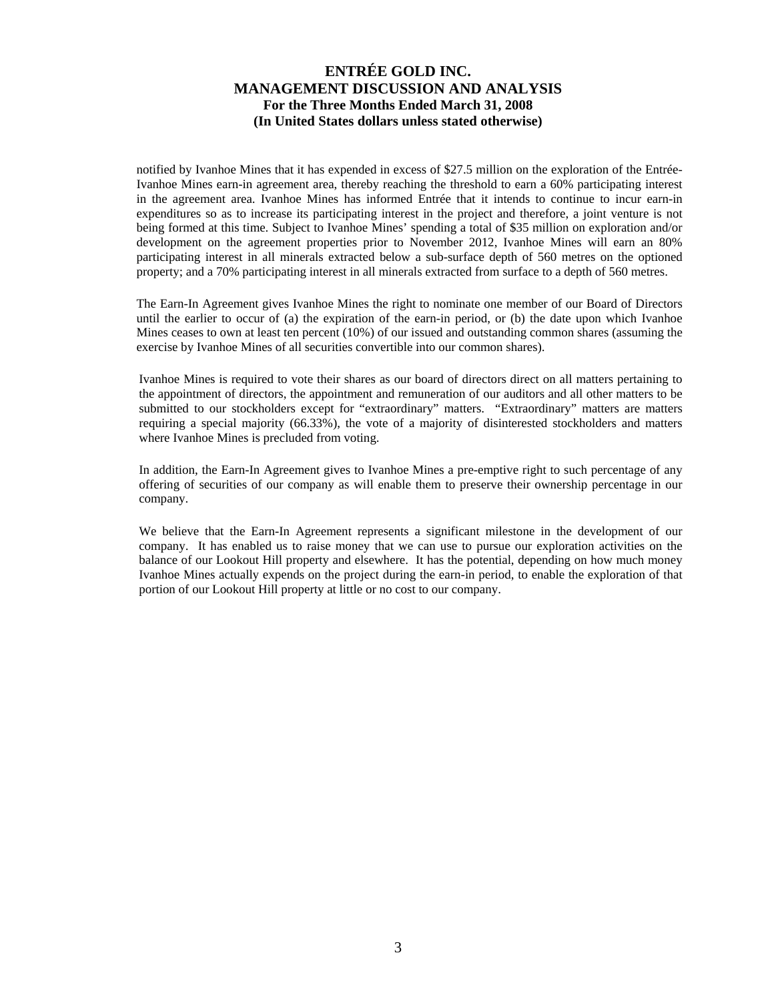notified by Ivanhoe Mines that it has expended in excess of \$27.5 million on the exploration of the Entrée-Ivanhoe Mines earn-in agreement area, thereby reaching the threshold to earn a 60% participating interest in the agreement area. Ivanhoe Mines has informed Entrée that it intends to continue to incur earn-in expenditures so as to increase its participating interest in the project and therefore, a joint venture is not being formed at this time. Subject to Ivanhoe Mines' spending a total of \$35 million on exploration and/or development on the agreement properties prior to November 2012, Ivanhoe Mines will earn an 80% participating interest in all minerals extracted below a sub-surface depth of 560 metres on the optioned property; and a 70% participating interest in all minerals extracted from surface to a depth of 560 metres.

The Earn-In Agreement gives Ivanhoe Mines the right to nominate one member of our Board of Directors until the earlier to occur of (a) the expiration of the earn-in period, or (b) the date upon which Ivanhoe Mines ceases to own at least ten percent (10%) of our issued and outstanding common shares (assuming the exercise by Ivanhoe Mines of all securities convertible into our common shares).

Ivanhoe Mines is required to vote their shares as our board of directors direct on all matters pertaining to the appointment of directors, the appointment and remuneration of our auditors and all other matters to be submitted to our stockholders except for "extraordinary" matters. "Extraordinary" matters are matters requiring a special majority (66.33%), the vote of a majority of disinterested stockholders and matters where Ivanhoe Mines is precluded from voting.

In addition, the Earn-In Agreement gives to Ivanhoe Mines a pre-emptive right to such percentage of any offering of securities of our company as will enable them to preserve their ownership percentage in our company.

We believe that the Earn-In Agreement represents a significant milestone in the development of our company. It has enabled us to raise money that we can use to pursue our exploration activities on the balance of our Lookout Hill property and elsewhere. It has the potential, depending on how much money Ivanhoe Mines actually expends on the project during the earn-in period, to enable the exploration of that portion of our Lookout Hill property at little or no cost to our company.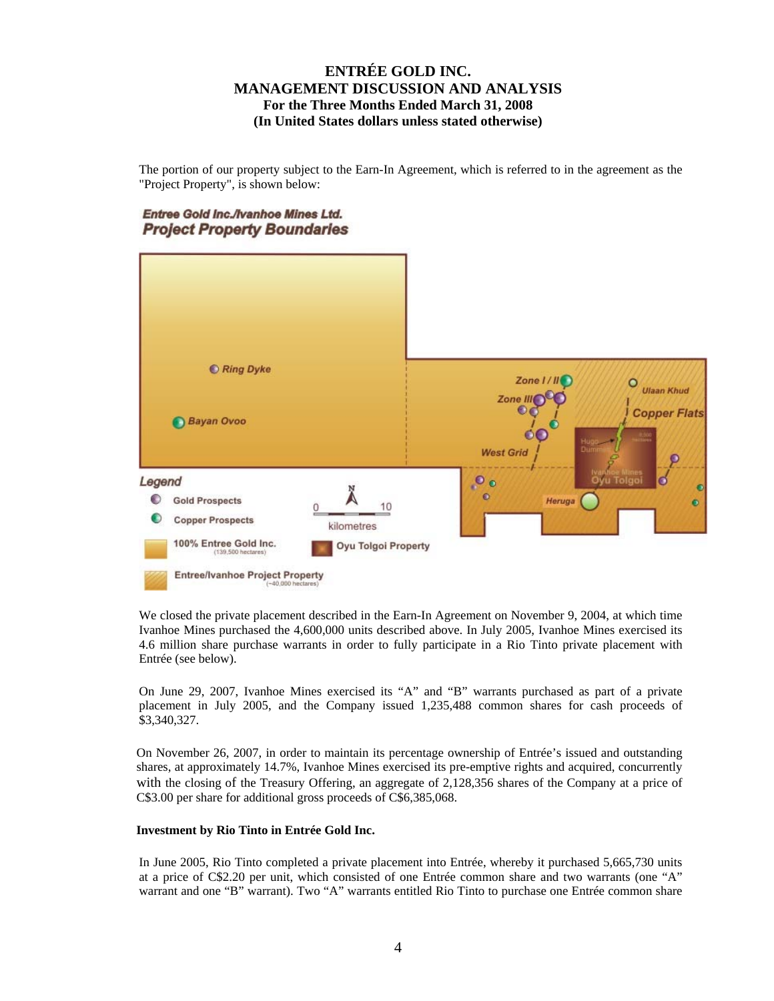The portion of our property subject to the Earn-In Agreement, which is referred to in the agreement as the "Project Property", is shown below:

### Entree Gold Inc./Ivanhoe Mines Ltd. **Project Property Boundaries**



We closed the private placement described in the Earn-In Agreement on November 9, 2004, at which time Ivanhoe Mines purchased the 4,600,000 units described above. In July 2005, Ivanhoe Mines exercised its 4.6 million share purchase warrants in order to fully participate in a Rio Tinto private placement with Entrée (see below).

On June 29, 2007, Ivanhoe Mines exercised its "A" and "B" warrants purchased as part of a private placement in July 2005, and the Company issued 1,235,488 common shares for cash proceeds of \$3,340,327.

On November 26, 2007, in order to maintain its percentage ownership of Entrée's issued and outstanding shares, at approximately 14.7%, Ivanhoe Mines exercised its pre-emptive rights and acquired, concurrently with the closing of the Treasury Offering, an aggregate of 2,128,356 shares of the Company at a price of C\$3.00 per share for additional gross proceeds of C\$6,385,068.

### **Investment by Rio Tinto in Entrée Gold Inc.**

In June 2005, Rio Tinto completed a private placement into Entrée, whereby it purchased 5,665,730 units at a price of C\$2.20 per unit, which consisted of one Entrée common share and two warrants (one "A" warrant and one "B" warrant). Two "A" warrants entitled Rio Tinto to purchase one Entrée common share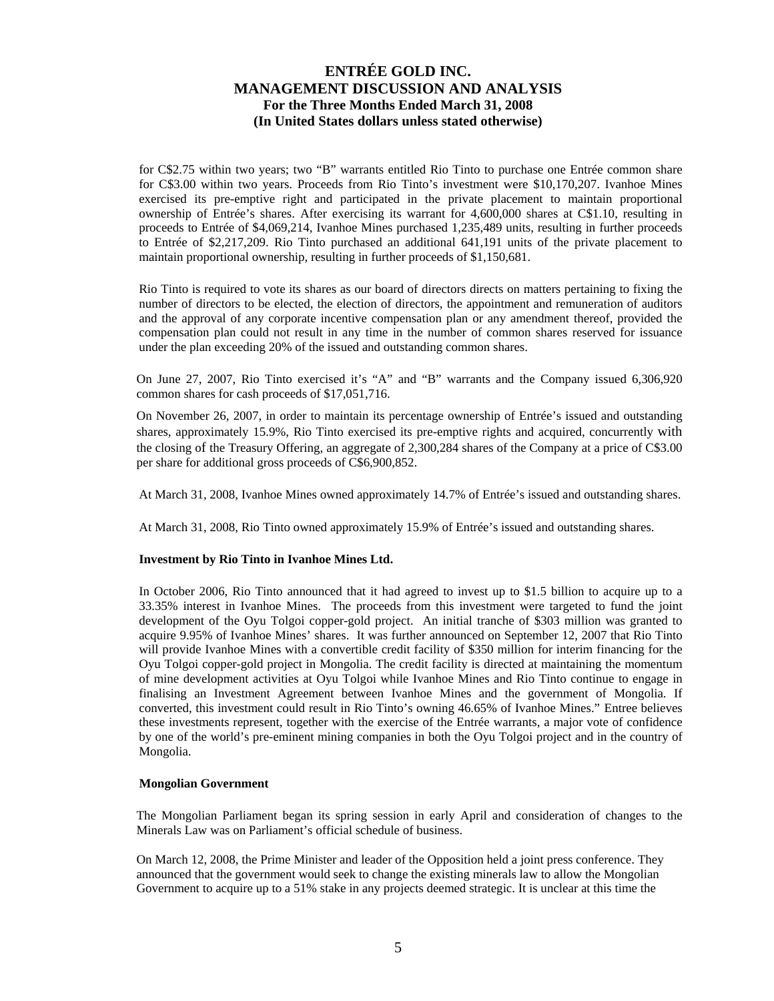for C\$2.75 within two years; two "B" warrants entitled Rio Tinto to purchase one Entrée common share for C\$3.00 within two years. Proceeds from Rio Tinto's investment were \$10,170,207. Ivanhoe Mines exercised its pre-emptive right and participated in the private placement to maintain proportional ownership of Entrée's shares. After exercising its warrant for 4,600,000 shares at C\$1.10, resulting in proceeds to Entrée of \$4,069,214, Ivanhoe Mines purchased 1,235,489 units, resulting in further proceeds to Entrée of \$2,217,209. Rio Tinto purchased an additional 641,191 units of the private placement to maintain proportional ownership, resulting in further proceeds of \$1,150,681.

Rio Tinto is required to vote its shares as our board of directors directs on matters pertaining to fixing the number of directors to be elected, the election of directors, the appointment and remuneration of auditors and the approval of any corporate incentive compensation plan or any amendment thereof, provided the compensation plan could not result in any time in the number of common shares reserved for issuance under the plan exceeding 20% of the issued and outstanding common shares.

On June 27, 2007, Rio Tinto exercised it's "A" and "B" warrants and the Company issued 6,306,920 common shares for cash proceeds of \$17,051,716.

On November 26, 2007, in order to maintain its percentage ownership of Entrée's issued and outstanding shares, approximately 15.9%, Rio Tinto exercised its pre-emptive rights and acquired, concurrently with the closing of the Treasury Offering, an aggregate of 2,300,284 shares of the Company at a price of C\$3.00 per share for additional gross proceeds of C\$6,900,852.

At March 31, 2008, Ivanhoe Mines owned approximately 14.7% of Entrée's issued and outstanding shares.

At March 31, 2008, Rio Tinto owned approximately 15.9% of Entrée's issued and outstanding shares.

#### **Investment by Rio Tinto in Ivanhoe Mines Ltd.**

In October 2006, Rio Tinto announced that it had agreed to invest up to \$1.5 billion to acquire up to a 33.35% interest in Ivanhoe Mines. The proceeds from this investment were targeted to fund the joint development of the Oyu Tolgoi copper-gold project. An initial tranche of \$303 million was granted to acquire 9.95% of Ivanhoe Mines' shares. It was further announced on September 12, 2007 that Rio Tinto will provide Ivanhoe Mines with a convertible credit facility of \$350 million for interim financing for the Oyu Tolgoi copper-gold project in Mongolia. The credit facility is directed at maintaining the momentum of mine development activities at Oyu Tolgoi while Ivanhoe Mines and Rio Tinto continue to engage in finalising an Investment Agreement between Ivanhoe Mines and the government of Mongolia. If converted, this investment could result in Rio Tinto's owning 46.65% of Ivanhoe Mines." Entree believes these investments represent, together with the exercise of the Entrée warrants, a major vote of confidence by one of the world's pre-eminent mining companies in both the Oyu Tolgoi project and in the country of Mongolia.

#### **Mongolian Government**

The Mongolian Parliament began its spring session in early April and consideration of changes to the Minerals Law was on Parliament's official schedule of business.

On March 12, 2008, the Prime Minister and leader of the Opposition held a joint press conference. They announced that the government would seek to change the existing minerals law to allow the Mongolian Government to acquire up to a 51% stake in any projects deemed strategic. It is unclear at this time the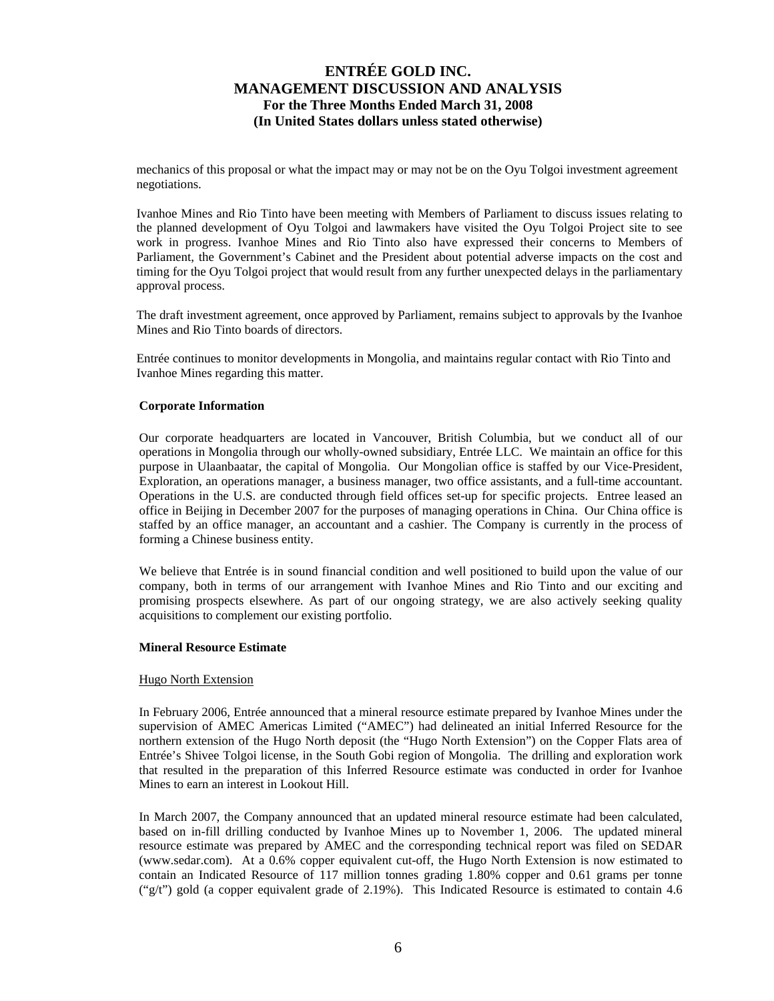mechanics of this proposal or what the impact may or may not be on the Oyu Tolgoi investment agreement negotiations.

Ivanhoe Mines and Rio Tinto have been meeting with Members of Parliament to discuss issues relating to the planned development of Oyu Tolgoi and lawmakers have visited the Oyu Tolgoi Project site to see work in progress. Ivanhoe Mines and Rio Tinto also have expressed their concerns to Members of Parliament, the Government's Cabinet and the President about potential adverse impacts on the cost and timing for the Oyu Tolgoi project that would result from any further unexpected delays in the parliamentary approval process.

The draft investment agreement, once approved by Parliament, remains subject to approvals by the Ivanhoe Mines and Rio Tinto boards of directors.

Entrée continues to monitor developments in Mongolia, and maintains regular contact with Rio Tinto and Ivanhoe Mines regarding this matter.

#### **Corporate Information**

Our corporate headquarters are located in Vancouver, British Columbia, but we conduct all of our operations in Mongolia through our wholly-owned subsidiary, Entrée LLC. We maintain an office for this purpose in Ulaanbaatar, the capital of Mongolia. Our Mongolian office is staffed by our Vice-President, Exploration, an operations manager, a business manager, two office assistants, and a full-time accountant. Operations in the U.S. are conducted through field offices set-up for specific projects. Entree leased an office in Beijing in December 2007 for the purposes of managing operations in China. Our China office is staffed by an office manager, an accountant and a cashier. The Company is currently in the process of forming a Chinese business entity.

We believe that Entrée is in sound financial condition and well positioned to build upon the value of our company, both in terms of our arrangement with Ivanhoe Mines and Rio Tinto and our exciting and promising prospects elsewhere. As part of our ongoing strategy, we are also actively seeking quality acquisitions to complement our existing portfolio.

#### **Mineral Resource Estimate**

#### Hugo North Extension

In February 2006, Entrée announced that a mineral resource estimate prepared by Ivanhoe Mines under the supervision of AMEC Americas Limited ("AMEC") had delineated an initial Inferred Resource for the northern extension of the Hugo North deposit (the "Hugo North Extension") on the Copper Flats area of Entrée's Shivee Tolgoi license, in the South Gobi region of Mongolia. The drilling and exploration work that resulted in the preparation of this Inferred Resource estimate was conducted in order for Ivanhoe Mines to earn an interest in Lookout Hill.

In March 2007, the Company announced that an updated mineral resource estimate had been calculated, based on in-fill drilling conducted by Ivanhoe Mines up to November 1, 2006. The updated mineral resource estimate was prepared by AMEC and the corresponding technical report was filed on SEDAR (www.sedar.com). At a 0.6% copper equivalent cut-off, the Hugo North Extension is now estimated to contain an Indicated Resource of 117 million tonnes grading 1.80% copper and 0.61 grams per tonne ("g/t") gold (a copper equivalent grade of 2.19%). This Indicated Resource is estimated to contain 4.6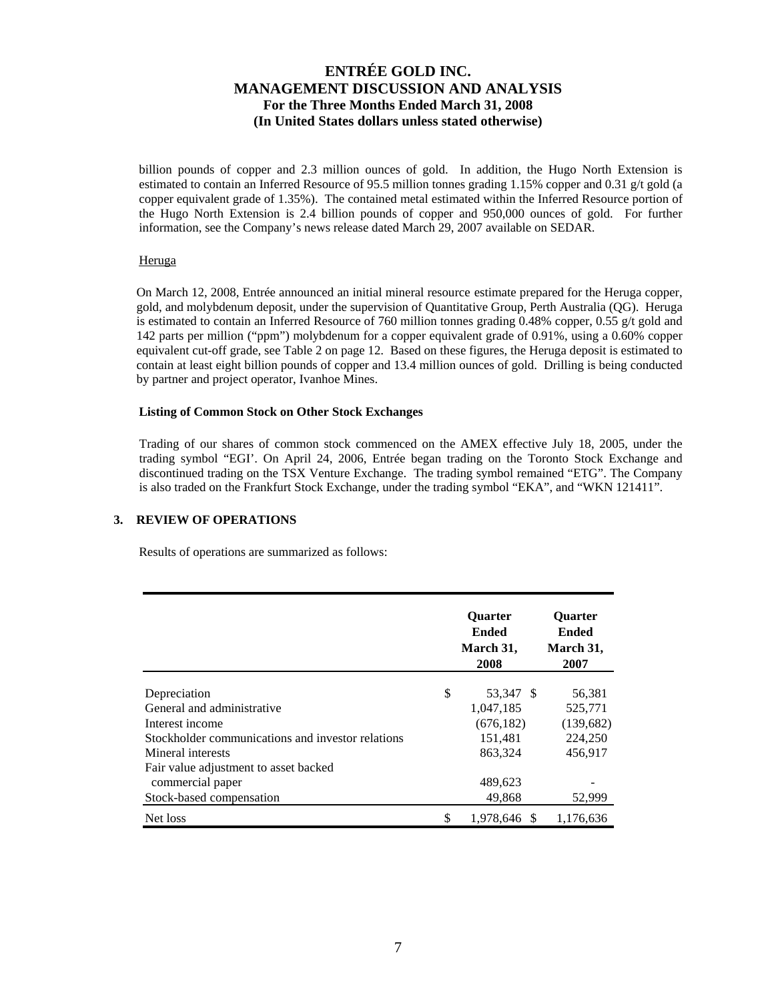billion pounds of copper and 2.3 million ounces of gold. In addition, the Hugo North Extension is estimated to contain an Inferred Resource of 95.5 million tonnes grading 1.15% copper and 0.31 g/t gold (a copper equivalent grade of 1.35%). The contained metal estimated within the Inferred Resource portion of the Hugo North Extension is 2.4 billion pounds of copper and 950,000 ounces of gold. For further information, see the Company's news release dated March 29, 2007 available on SEDAR.

### Heruga

On March 12, 2008, Entrée announced an initial mineral resource estimate prepared for the Heruga copper, gold, and molybdenum deposit, under the supervision of Quantitative Group, Perth Australia (QG). Heruga is estimated to contain an Inferred Resource of 760 million tonnes grading 0.48% copper, 0.55 g/t gold and 142 parts per million ("ppm") molybdenum for a copper equivalent grade of 0.91%, using a 0.60% copper equivalent cut-off grade, see Table 2 on page 12. Based on these figures, the Heruga deposit is estimated to contain at least eight billion pounds of copper and 13.4 million ounces of gold. Drilling is being conducted by partner and project operator, Ivanhoe Mines.

#### **Listing of Common Stock on Other Stock Exchanges**

Trading of our shares of common stock commenced on the AMEX effective July 18, 2005, under the trading symbol "EGI'. On April 24, 2006, Entrée began trading on the Toronto Stock Exchange and discontinued trading on the TSX Venture Exchange. The trading symbol remained "ETG". The Company is also traded on the Frankfurt Stock Exchange, under the trading symbol "EKA", and "WKN 121411".

### **3. REVIEW OF OPERATIONS**

Results of operations are summarized as follows:

|                                                   | <b>Ouarter</b><br><b>Ended</b><br>March 31,<br>2008 | <b>Ouarter</b><br><b>Ended</b><br>March 31,<br>2007 |
|---------------------------------------------------|-----------------------------------------------------|-----------------------------------------------------|
|                                                   |                                                     |                                                     |
| Depreciation                                      | \$<br>53,347 \$                                     | 56,381                                              |
| General and administrative                        | 1,047,185                                           | 525,771                                             |
| Interest income                                   | (676, 182)                                          | (139,682)                                           |
| Stockholder communications and investor relations | 151,481                                             | 224,250                                             |
| Mineral interests                                 | 863.324                                             | 456,917                                             |
| Fair value adjustment to asset backed             |                                                     |                                                     |
| commercial paper                                  | 489,623                                             |                                                     |
| Stock-based compensation                          | 49,868                                              | 52,999                                              |
| Net loss                                          | \$<br>1.978.646 \$                                  | 1,176,636                                           |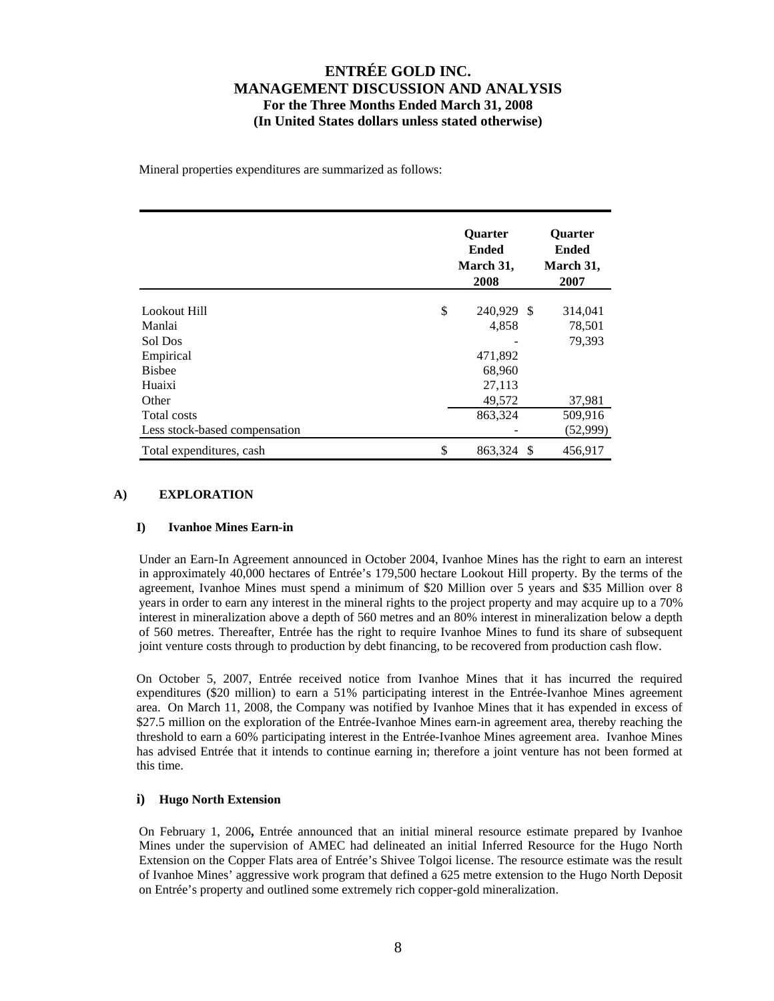Mineral properties expenditures are summarized as follows:

|                               | <b>Ouarter</b><br><b>Ended</b><br>March 31,<br>2008 |   | <b>Ouarter</b><br><b>Ended</b><br>March 31,<br>2007 |
|-------------------------------|-----------------------------------------------------|---|-----------------------------------------------------|
| Lookout Hill                  | \$<br>240,929 \$                                    |   | 314,041                                             |
| Manlai                        | 4,858                                               |   | 78,501                                              |
| Sol Dos                       |                                                     |   | 79,393                                              |
| Empirical                     | 471,892                                             |   |                                                     |
| <b>Bisbee</b>                 | 68,960                                              |   |                                                     |
| Huaixi                        | 27,113                                              |   |                                                     |
| Other                         | 49,572                                              |   | 37,981                                              |
| Total costs                   | 863,324                                             |   | 509,916                                             |
| Less stock-based compensation |                                                     |   | (52,999)                                            |
| Total expenditures, cash      | \$<br>863,324                                       | S | 456,917                                             |

### **A) EXPLORATION**

#### **I) Ivanhoe Mines Earn-in**

Under an Earn-In Agreement announced in October 2004, Ivanhoe Mines has the right to earn an interest in approximately 40,000 hectares of Entrée's 179,500 hectare Lookout Hill property. By the terms of the agreement, Ivanhoe Mines must spend a minimum of \$20 Million over 5 years and \$35 Million over 8 years in order to earn any interest in the mineral rights to the project property and may acquire up to a 70% interest in mineralization above a depth of 560 metres and an 80% interest in mineralization below a depth of 560 metres. Thereafter, Entrée has the right to require Ivanhoe Mines to fund its share of subsequent joint venture costs through to production by debt financing, to be recovered from production cash flow.

On October 5, 2007, Entrée received notice from Ivanhoe Mines that it has incurred the required expenditures (\$20 million) to earn a 51% participating interest in the Entrée-Ivanhoe Mines agreement area. On March 11, 2008, the Company was notified by Ivanhoe Mines that it has expended in excess of \$27.5 million on the exploration of the Entrée-Ivanhoe Mines earn-in agreement area, thereby reaching the threshold to earn a 60% participating interest in the Entrée-Ivanhoe Mines agreement area. Ivanhoe Mines has advised Entrée that it intends to continue earning in; therefore a joint venture has not been formed at this time.

### **i) Hugo North Extension**

On February 1, 2006**,** Entrée announced that an initial mineral resource estimate prepared by Ivanhoe Mines under the supervision of AMEC had delineated an initial Inferred Resource for the Hugo North Extension on the Copper Flats area of Entrée's Shivee Tolgoi license. The resource estimate was the result of Ivanhoe Mines' aggressive work program that defined a 625 metre extension to the Hugo North Deposit on Entrée's property and outlined some extremely rich copper-gold mineralization.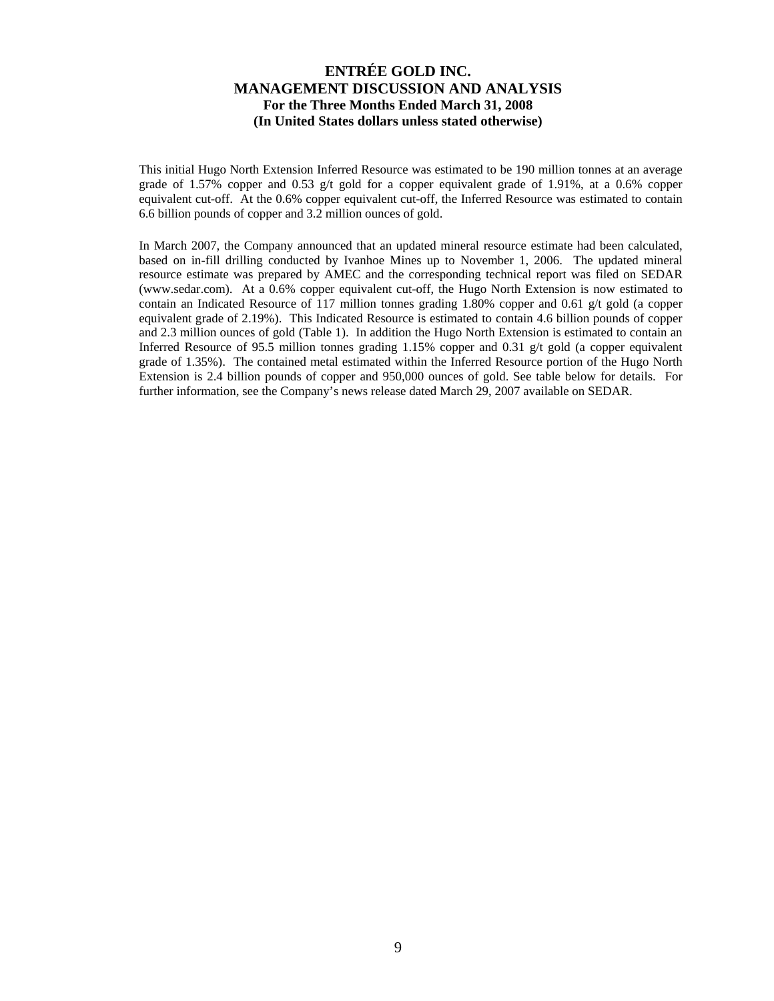This initial Hugo North Extension Inferred Resource was estimated to be 190 million tonnes at an average grade of 1.57% copper and 0.53 g/t gold for a copper equivalent grade of 1.91%, at a 0.6% copper equivalent cut-off. At the 0.6% copper equivalent cut-off, the Inferred Resource was estimated to contain 6.6 billion pounds of copper and 3.2 million ounces of gold.

In March 2007, the Company announced that an updated mineral resource estimate had been calculated, based on in-fill drilling conducted by Ivanhoe Mines up to November 1, 2006. The updated mineral resource estimate was prepared by AMEC and the corresponding technical report was filed on SEDAR (www.sedar.com). At a 0.6% copper equivalent cut-off, the Hugo North Extension is now estimated to contain an Indicated Resource of 117 million tonnes grading 1.80% copper and 0.61 g/t gold (a copper equivalent grade of 2.19%). This Indicated Resource is estimated to contain 4.6 billion pounds of copper and 2.3 million ounces of gold (Table 1). In addition the Hugo North Extension is estimated to contain an Inferred Resource of 95.5 million tonnes grading  $1.15\%$  copper and 0.31 g/t gold (a copper equivalent grade of 1.35%). The contained metal estimated within the Inferred Resource portion of the Hugo North Extension is 2.4 billion pounds of copper and 950,000 ounces of gold. See table below for details. For further information, see the Company's news release dated March 29, 2007 available on SEDAR.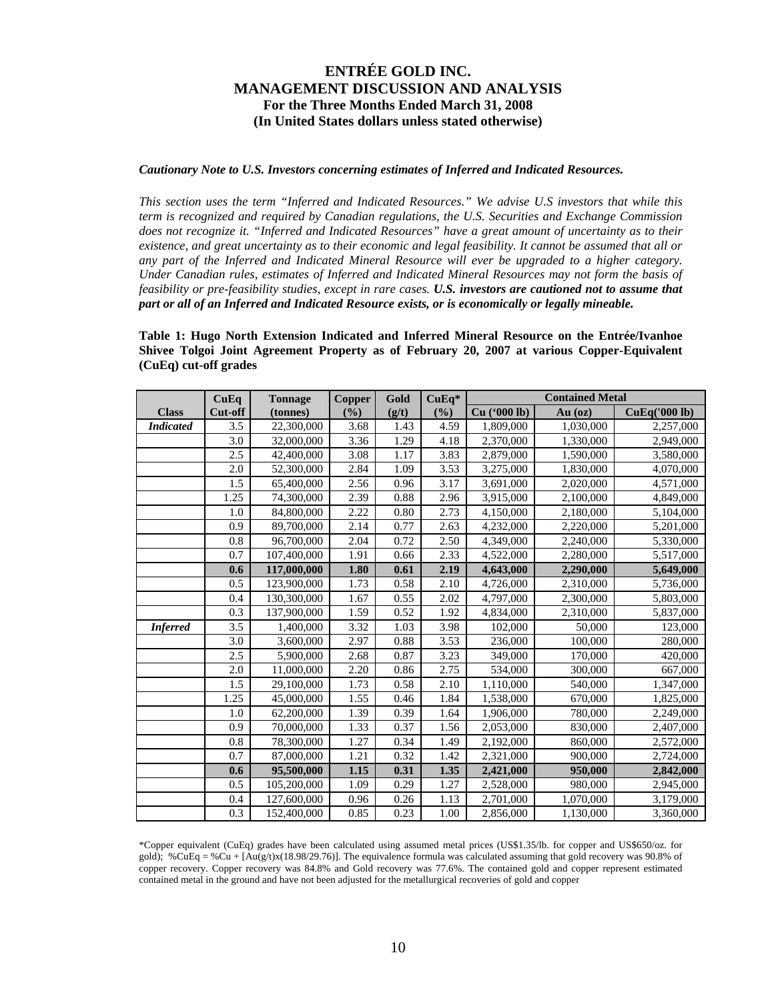#### *Cautionary Note to U.S. Investors concerning estimates of Inferred and Indicated Resources.*

*This section uses the term "Inferred and Indicated Resources." We advise U.S investors that while this term is recognized and required by Canadian regulations, the U.S. Securities and Exchange Commission does not recognize it. "Inferred and Indicated Resources" have a great amount of uncertainty as to their existence, and great uncertainty as to their economic and legal feasibility. It cannot be assumed that all or any part of the Inferred and Indicated Mineral Resource will ever be upgraded to a higher category. Under Canadian rules, estimates of Inferred and Indicated Mineral Resources may not form the basis of feasibility or pre-feasibility studies, except in rare cases. U.S. investors are cautioned not to assume that part or all of an Inferred and Indicated Resource exists, or is economically or legally mineable.* 

**Table 1: Hugo North Extension Indicated and Inferred Mineral Resource on the Entrée/Ivanhoe Shivee Tolgoi Joint Agreement Property as of February 20, 2007 at various Copper-Equivalent (CuEq) cut-off grades** 

|                  | CuEq             | <b>Tonnage</b> | <b>Copper</b> | Gold     | $CuEq*$ | <b>Contained Metal</b> |           |               |
|------------------|------------------|----------------|---------------|----------|---------|------------------------|-----------|---------------|
| <b>Class</b>     | Cut-off          | (tonnes)       | (%)           | (g/t)    | $($ %)  | Cu ('000 lb)           | Au $(oz)$ | CuEq('000 lb) |
| <b>Indicated</b> | 3.5              | 22,300,000     | 3.68          | 1.43     | 4.59    | 1,809,000              | 1,030,000 | 2,257,000     |
|                  | 3.0              | 32,000,000     | 3.36          | 1.29     | 4.18    | 2,370,000              | 1,330,000 | 2,949,000     |
|                  | 2.5              | 42,400,000     | 3.08          | 1.17     | 3.83    | 2,879,000              | 1,590,000 | 3,580,000     |
|                  | 2.0              | 52,300,000     | 2.84          | 1.09     | 3.53    | 3,275,000              | 1,830,000 | 4,070,000     |
|                  | 1.5              | 65,400,000     | 2.56          | 0.96     | 3.17    | 3,691,000              | 2,020,000 | 4,571,000     |
|                  | 1.25             | 74,300,000     | 2.39          | 0.88     | 2.96    | 3,915,000              | 2,100,000 | 4,849,000     |
|                  | 1.0              | 84,800,000     | 2.22          | 0.80     | 2.73    | 4,150,000              | 2,180,000 | 5,104,000     |
|                  | 0.9              | 89,700,000     | 2.14          | 0.77     | 2.63    | 4,232,000              | 2,220,000 | 5,201,000     |
|                  | 0.8              | 96,700,000     | 2.04          | 0.72     | 2.50    | 4,349,000              | 2,240,000 | 5,330,000     |
|                  | 0.7              | 107,400,000    | 1.91          | 0.66     | 2.33    | 4,522,000              | 2,280,000 | 5,517,000     |
|                  | 0.6              | 117,000,000    | 1.80          | 0.61     | 2.19    | 4,643,000              | 2,290,000 | 5,649,000     |
|                  | 0.5              | 123,900,000    | 1.73          | 0.58     | 2.10    | 4,726,000              | 2,310,000 | 5,736,000     |
|                  | 0.4              | 130,300,000    | 1.67          | 0.55     | 2.02    | 4,797,000              | 2,300,000 | 5,803,000     |
|                  | 0.3              | 137,900,000    | 1.59          | 0.52     | 1.92    | 4,834,000              | 2,310,000 | 5,837,000     |
| <b>Inferred</b>  | 3.5              | 1,400,000      | 3.32          | 1.03     | 3.98    | 102,000                | 50,000    | 123,000       |
|                  | 3.0              | 3,600,000      | 2.97          | 0.88     | 3.53    | 236,000                | 100,000   | 280,000       |
|                  | 2.5              | 5,900,000      | 2.68          | 0.87     | 3.23    | 349,000                | 170,000   | 420,000       |
|                  | 2.0              | 11,000,000     | 2.20          | 0.86     | 2.75    | 534,000                | 300,000   | 667,000       |
|                  | 1.5              | 29,100,000     | 1.73          | 0.58     | 2.10    | 1,110,000              | 540,000   | 1,347,000     |
|                  | 1.25             | 45,000,000     | 1.55          | 0.46     | 1.84    | $\overline{1,}538,000$ | 670,000   | 1,825,000     |
|                  | 1.0              | 62,200,000     | 1.39          | 0.39     | 1.64    | 1,906,000              | 780,000   | 2,249,000     |
|                  | 0.9              | 70,000,000     | 1.33          | 0.37     | 1.56    | 2,053,000              | 830,000   | 2,407,000     |
|                  | $\overline{0.8}$ | 78,300,000     | 1.27          | 0.34     | 1.49    | 2,192,000              | 860,000   | 2,572,000     |
|                  | 0.7              | 87,000,000     | 1.21          | 0.32     | 1.42    | 2,321,000              | 900,000   | 2,724,000     |
|                  | 0.6              | 95,500,000     | 1.15          | 0.31     | 1.35    | 2,421,000              | 950,000   | 2,842,000     |
|                  | 0.5              | 105,200,000    | 1.09          | 0.29     | 1.27    | 2,528,000              | 980,000   | 2,945,000     |
|                  | 0.4              | 127,600,000    | 0.96          | $0.26\,$ | 1.13    | 2,701,000              | 1,070,000 | 3,179,000     |
|                  | 0.3              | 152,400,000    | 0.85          | 0.23     | 1.00    | 2,856,000              | 1,130,000 | 3,360,000     |

\*Copper equivalent (CuEq) grades have been calculated using assumed metal prices (US\$1.35/lb. for copper and US\$650/oz. for gold); %CuEq = %Cu + [ $Au(g/t)x(18.98/29.76)$ ]. The equivalence formula was calculated assuming that gold recovery was 90.8% of copper recovery. Copper recovery was 84.8% and Gold recovery was 77.6%. The contained gold and copper represent estimated contained metal in the ground and have not been adjusted for the metallurgical recoveries of gold and copper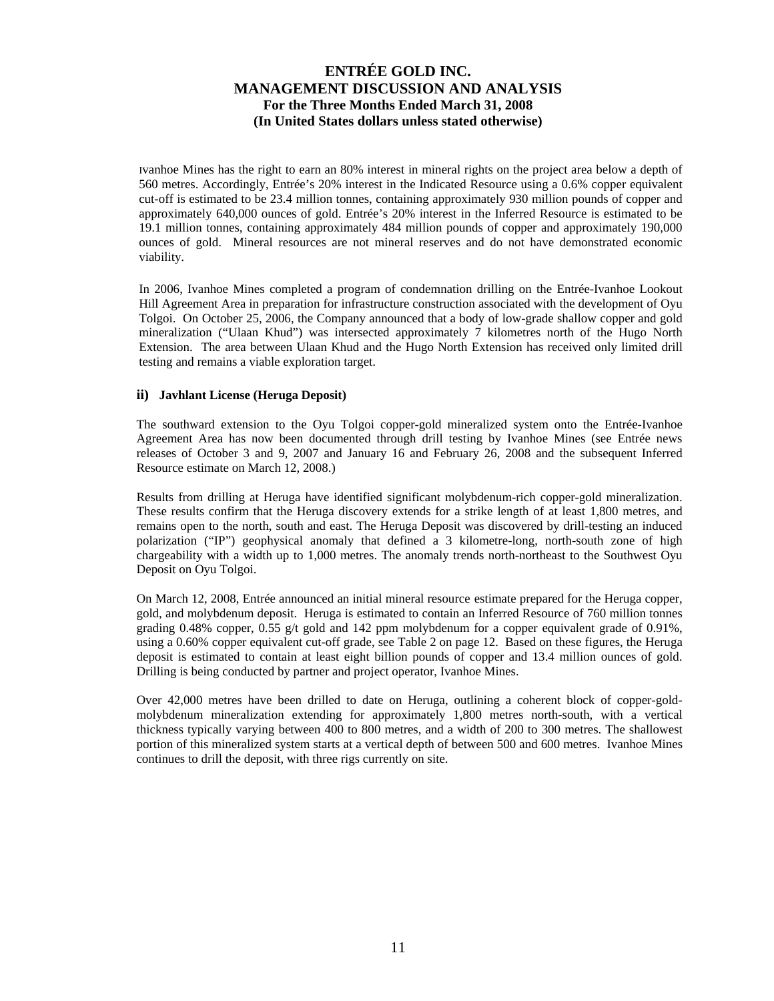Ivanhoe Mines has the right to earn an 80% interest in mineral rights on the project area below a depth of 560 metres. Accordingly, Entrée's 20% interest in the Indicated Resource using a 0.6% copper equivalent cut-off is estimated to be 23.4 million tonnes, containing approximately 930 million pounds of copper and approximately 640,000 ounces of gold. Entrée's 20% interest in the Inferred Resource is estimated to be 19.1 million tonnes, containing approximately 484 million pounds of copper and approximately 190,000 ounces of gold. Mineral resources are not mineral reserves and do not have demonstrated economic viability.

In 2006, Ivanhoe Mines completed a program of condemnation drilling on the Entrée-Ivanhoe Lookout Hill Agreement Area in preparation for infrastructure construction associated with the development of Oyu Tolgoi. On October 25, 2006, the Company announced that a body of low-grade shallow copper and gold mineralization ("Ulaan Khud") was intersected approximately 7 kilometres north of the Hugo North Extension. The area between Ulaan Khud and the Hugo North Extension has received only limited drill testing and remains a viable exploration target.

### **ii) Javhlant License (Heruga Deposit)**

The southward extension to the Oyu Tolgoi copper-gold mineralized system onto the Entrée-Ivanhoe Agreement Area has now been documented through drill testing by Ivanhoe Mines (see Entrée news releases of October 3 and 9, 2007 and January 16 and February 26, 2008 and the subsequent Inferred Resource estimate on March 12, 2008.)

Results from drilling at Heruga have identified significant molybdenum-rich copper-gold mineralization. These results confirm that the Heruga discovery extends for a strike length of at least 1,800 metres, and remains open to the north, south and east. The Heruga Deposit was discovered by drill-testing an induced polarization ("IP") geophysical anomaly that defined a 3 kilometre-long, north-south zone of high chargeability with a width up to 1,000 metres. The anomaly trends north-northeast to the Southwest Oyu Deposit on Oyu Tolgoi.

On March 12, 2008, Entrée announced an initial mineral resource estimate prepared for the Heruga copper, gold, and molybdenum deposit. Heruga is estimated to contain an Inferred Resource of 760 million tonnes grading 0.48% copper, 0.55 g/t gold and 142 ppm molybdenum for a copper equivalent grade of 0.91%, using a 0.60% copper equivalent cut-off grade, see Table 2 on page 12. Based on these figures, the Heruga deposit is estimated to contain at least eight billion pounds of copper and 13.4 million ounces of gold. Drilling is being conducted by partner and project operator, Ivanhoe Mines.

Over 42,000 metres have been drilled to date on Heruga, outlining a coherent block of copper-goldmolybdenum mineralization extending for approximately 1,800 metres north-south, with a vertical thickness typically varying between 400 to 800 metres, and a width of 200 to 300 metres. The shallowest portion of this mineralized system starts at a vertical depth of between 500 and 600 metres. Ivanhoe Mines continues to drill the deposit, with three rigs currently on site.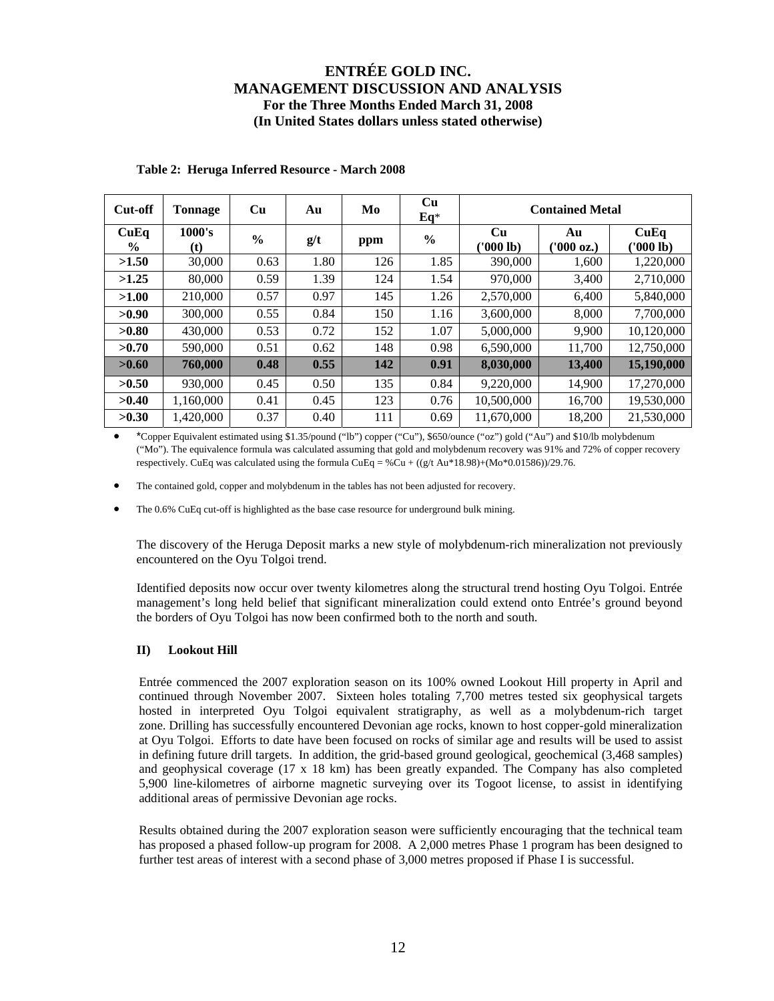| Cut-off               | <b>Tonnage</b>                       | Cu            | Au   | Mo  | Cu<br>$Eq*$   | <b>Contained Metal</b> |                  |                   |
|-----------------------|--------------------------------------|---------------|------|-----|---------------|------------------------|------------------|-------------------|
| CuEq<br>$\frac{0}{0}$ | 1000's<br>$\left( \mathbf{t}\right)$ | $\frac{6}{6}$ | g/t  | ppm | $\frac{0}{0}$ | Cu<br>('000 lb)        | Au<br>(1000 oz.) | CuEq<br>(1000 lb) |
| >1.50                 | 30,000                               | 0.63          | 1.80 | 126 | 1.85          | 390,000                | 1,600            | 1,220,000         |
| >1.25                 | 80,000                               | 0.59          | 1.39 | 124 | 1.54          | 970,000                | 3,400            | 2,710,000         |
| >1.00                 | 210,000                              | 0.57          | 0.97 | 145 | 1.26          | 2,570,000              | 6,400            | 5,840,000         |
| >0.90                 | 300,000                              | 0.55          | 0.84 | 150 | 1.16          | 3,600,000              | 8,000            | 7,700,000         |
| >0.80                 | 430,000                              | 0.53          | 0.72 | 152 | 1.07          | 5,000,000              | 9.900            | 10,120,000        |
| >0.70                 | 590,000                              | 0.51          | 0.62 | 148 | 0.98          | 6,590,000              | 11,700           | 12,750,000        |
| >0.60                 | 760,000                              | 0.48          | 0.55 | 142 | 0.91          | 8,030,000              | 13,400           | 15,190,000        |
| >0.50                 | 930,000                              | 0.45          | 0.50 | 135 | 0.84          | 9,220,000              | 14,900           | 17,270,000        |
| >0.40                 | 1,160,000                            | 0.41          | 0.45 | 123 | 0.76          | 10,500,000             | 16,700           | 19,530,000        |
| >0.30                 | 1.420.000                            | 0.37          | 0.40 | 111 | 0.69          | 11,670,000             | 18,200           | 21,530,000        |

### **Table 2: Heruga Inferred Resource - March 2008**

• \*Copper Equivalent estimated using \$1.35/pound ("lb") copper ("Cu"), \$650/ounce ("oz") gold ("Au") and \$10/lb molybdenum ("Mo"). The equivalence formula was calculated assuming that gold and molybdenum recovery was 91% and 72% of copper recovery respectively. CuEq was calculated using the formula CuEq = %Cu +  $((g/t Au*18.98)+(Mo*0.01586))/29.76$ .

The contained gold, copper and molybdenum in the tables has not been adjusted for recovery.

The 0.6% CuEq cut-off is highlighted as the base case resource for underground bulk mining.

The discovery of the Heruga Deposit marks a new style of molybdenum-rich mineralization not previously encountered on the Oyu Tolgoi trend.

Identified deposits now occur over twenty kilometres along the structural trend hosting Oyu Tolgoi. Entrée management's long held belief that significant mineralization could extend onto Entrée's ground beyond the borders of Oyu Tolgoi has now been confirmed both to the north and south.

#### **II) Lookout Hill**

Entrée commenced the 2007 exploration season on its 100% owned Lookout Hill property in April and continued through November 2007. Sixteen holes totaling 7,700 metres tested six geophysical targets hosted in interpreted Oyu Tolgoi equivalent stratigraphy, as well as a molybdenum-rich target zone. Drilling has successfully encountered Devonian age rocks, known to host copper-gold mineralization at Oyu Tolgoi. Efforts to date have been focused on rocks of similar age and results will be used to assist in defining future drill targets. In addition, the grid-based ground geological, geochemical (3,468 samples) and geophysical coverage (17 x 18 km) has been greatly expanded. The Company has also completed 5,900 line-kilometres of airborne magnetic surveying over its Togoot license, to assist in identifying additional areas of permissive Devonian age rocks.

Results obtained during the 2007 exploration season were sufficiently encouraging that the technical team has proposed a phased follow-up program for 2008. A 2,000 metres Phase 1 program has been designed to further test areas of interest with a second phase of 3,000 metres proposed if Phase I is successful.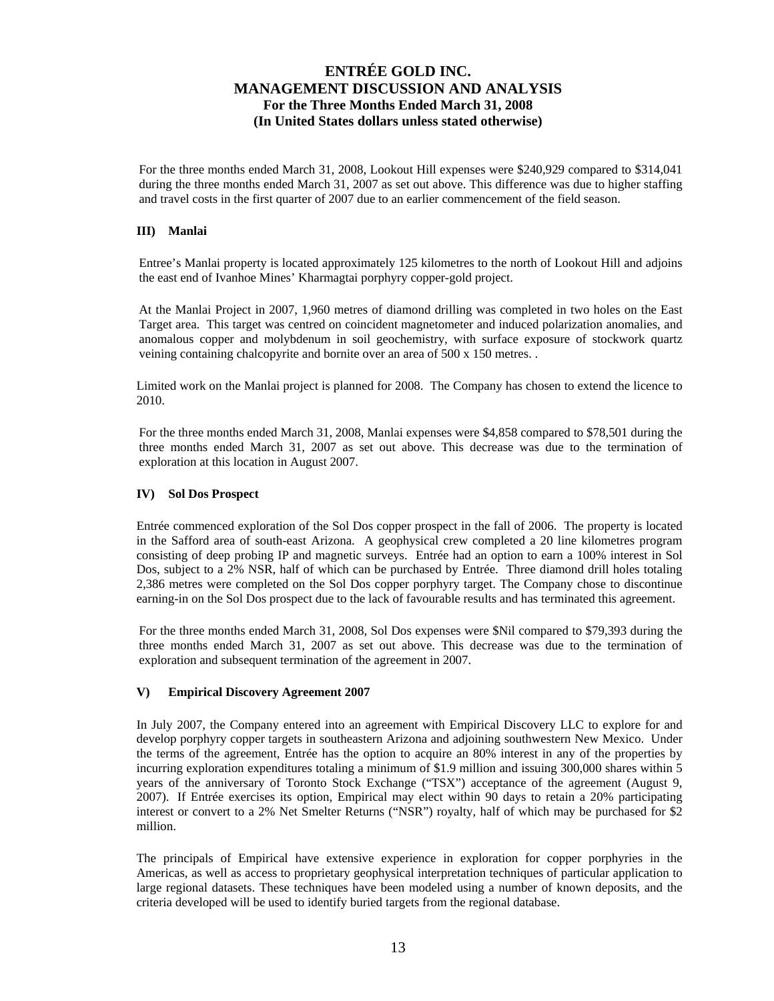For the three months ended March 31, 2008, Lookout Hill expenses were \$240,929 compared to \$314,041 during the three months ended March 31, 2007 as set out above. This difference was due to higher staffing and travel costs in the first quarter of 2007 due to an earlier commencement of the field season.

### **III) Manlai**

Entree's Manlai property is located approximately 125 kilometres to the north of Lookout Hill and adjoins the east end of Ivanhoe Mines' Kharmagtai porphyry copper-gold project.

At the Manlai Project in 2007, 1,960 metres of diamond drilling was completed in two holes on the East Target area. This target was centred on coincident magnetometer and induced polarization anomalies, and anomalous copper and molybdenum in soil geochemistry, with surface exposure of stockwork quartz veining containing chalcopyrite and bornite over an area of 500 x 150 metres. .

Limited work on the Manlai project is planned for 2008. The Company has chosen to extend the licence to 2010.

For the three months ended March 31, 2008, Manlai expenses were \$4,858 compared to \$78,501 during the three months ended March 31, 2007 as set out above. This decrease was due to the termination of exploration at this location in August 2007.

#### **IV) Sol Dos Prospect**

Entrée commenced exploration of the Sol Dos copper prospect in the fall of 2006. The property is located in the Safford area of south-east Arizona. A geophysical crew completed a 20 line kilometres program consisting of deep probing IP and magnetic surveys. Entrée had an option to earn a 100% interest in Sol Dos, subject to a 2% NSR, half of which can be purchased by Entrée. Three diamond drill holes totaling 2,386 metres were completed on the Sol Dos copper porphyry target. The Company chose to discontinue earning-in on the Sol Dos prospect due to the lack of favourable results and has terminated this agreement.

For the three months ended March 31, 2008, Sol Dos expenses were \$Nil compared to \$79,393 during the three months ended March 31, 2007 as set out above. This decrease was due to the termination of exploration and subsequent termination of the agreement in 2007.

#### **V) Empirical Discovery Agreement 2007**

In July 2007, the Company entered into an agreement with Empirical Discovery LLC to explore for and develop porphyry copper targets in southeastern Arizona and adjoining southwestern New Mexico. Under the terms of the agreement, Entrée has the option to acquire an 80% interest in any of the properties by incurring exploration expenditures totaling a minimum of \$1.9 million and issuing 300,000 shares within 5 years of the anniversary of Toronto Stock Exchange ("TSX") acceptance of the agreement (August 9, 2007). If Entrée exercises its option, Empirical may elect within 90 days to retain a 20% participating interest or convert to a 2% Net Smelter Returns ("NSR") royalty, half of which may be purchased for \$2 million.

The principals of Empirical have extensive experience in exploration for copper porphyries in the Americas, as well as access to proprietary geophysical interpretation techniques of particular application to large regional datasets. These techniques have been modeled using a number of known deposits, and the criteria developed will be used to identify buried targets from the regional database.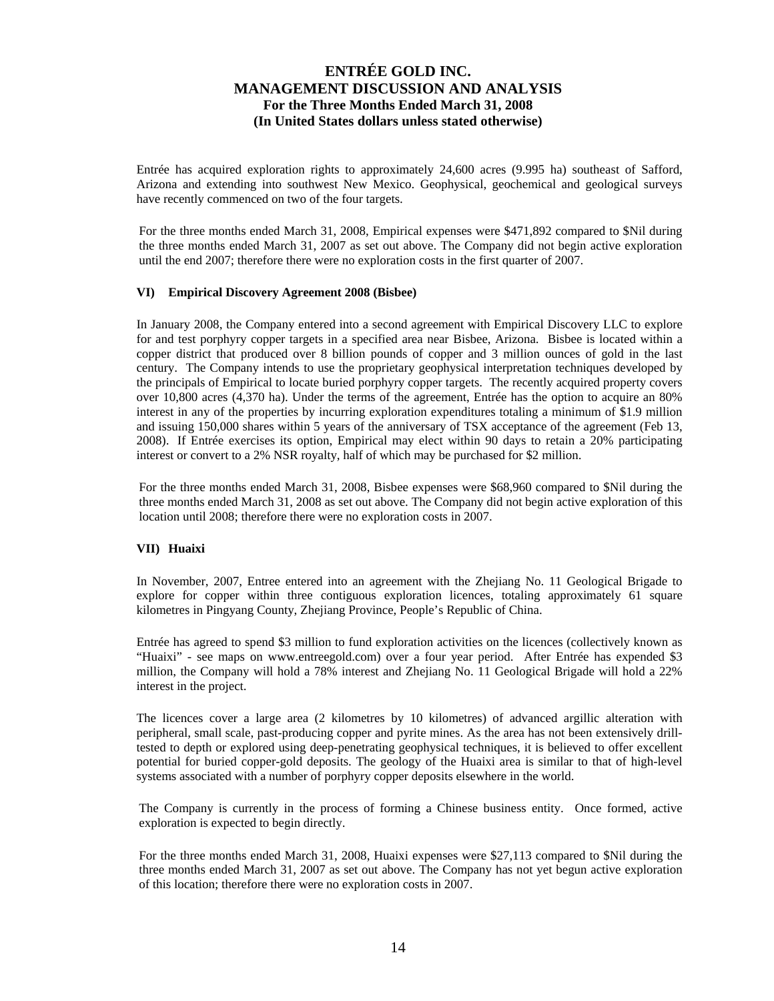Entrée has acquired exploration rights to approximately 24,600 acres (9.995 ha) southeast of Safford, Arizona and extending into southwest New Mexico. Geophysical, geochemical and geological surveys have recently commenced on two of the four targets.

For the three months ended March 31, 2008, Empirical expenses were \$471,892 compared to \$Nil during the three months ended March 31, 2007 as set out above. The Company did not begin active exploration until the end 2007; therefore there were no exploration costs in the first quarter of 2007.

### **VI) Empirical Discovery Agreement 2008 (Bisbee)**

In January 2008, the Company entered into a second agreement with Empirical Discovery LLC to explore for and test porphyry copper targets in a specified area near Bisbee, Arizona. Bisbee is located within a copper district that produced over 8 billion pounds of copper and 3 million ounces of gold in the last century. The Company intends to use the proprietary geophysical interpretation techniques developed by the principals of Empirical to locate buried porphyry copper targets. The recently acquired property covers over 10,800 acres (4,370 ha). Under the terms of the agreement, Entrée has the option to acquire an 80% interest in any of the properties by incurring exploration expenditures totaling a minimum of \$1.9 million and issuing 150,000 shares within 5 years of the anniversary of TSX acceptance of the agreement (Feb 13, 2008). If Entrée exercises its option, Empirical may elect within 90 days to retain a 20% participating interest or convert to a 2% NSR royalty, half of which may be purchased for \$2 million.

For the three months ended March 31, 2008, Bisbee expenses were \$68,960 compared to \$Nil during the three months ended March 31, 2008 as set out above. The Company did not begin active exploration of this location until 2008; therefore there were no exploration costs in 2007.

#### **VII) Huaixi**

In November, 2007, Entree entered into an agreement with the Zhejiang No. 11 Geological Brigade to explore for copper within three contiguous exploration licences, totaling approximately 61 square kilometres in Pingyang County, Zhejiang Province, People's Republic of China.

Entrée has agreed to spend \$3 million to fund exploration activities on the licences (collectively known as "Huaixi" - see maps on www.entreegold.com) over a four year period. After Entrée has expended \$3 million, the Company will hold a 78% interest and Zhejiang No. 11 Geological Brigade will hold a 22% interest in the project.

The licences cover a large area (2 kilometres by 10 kilometres) of advanced argillic alteration with peripheral, small scale, past-producing copper and pyrite mines. As the area has not been extensively drilltested to depth or explored using deep-penetrating geophysical techniques, it is believed to offer excellent potential for buried copper-gold deposits. The geology of the Huaixi area is similar to that of high-level systems associated with a number of porphyry copper deposits elsewhere in the world.

The Company is currently in the process of forming a Chinese business entity. Once formed, active exploration is expected to begin directly.

For the three months ended March 31, 2008, Huaixi expenses were \$27,113 compared to \$Nil during the three months ended March 31, 2007 as set out above. The Company has not yet begun active exploration of this location; therefore there were no exploration costs in 2007.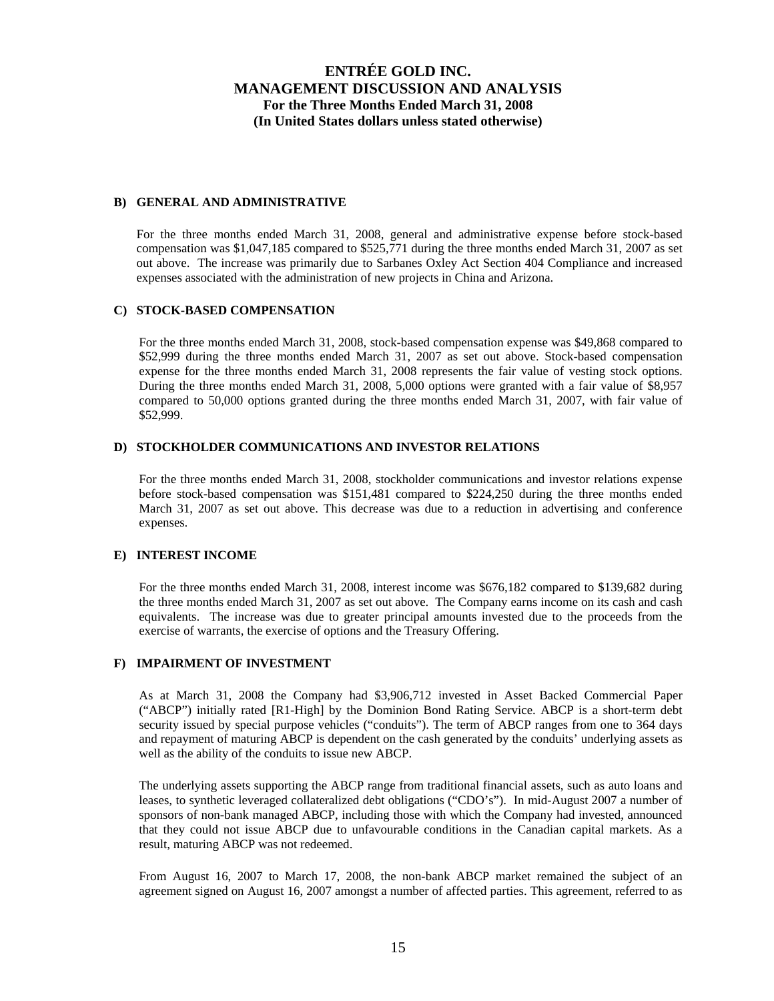#### **B) GENERAL AND ADMINISTRATIVE**

For the three months ended March 31, 2008, general and administrative expense before stock-based compensation was \$1,047,185 compared to \$525,771 during the three months ended March 31, 2007 as set out above. The increase was primarily due to Sarbanes Oxley Act Section 404 Compliance and increased expenses associated with the administration of new projects in China and Arizona.

#### **C) STOCK-BASED COMPENSATION**

For the three months ended March 31, 2008, stock-based compensation expense was \$49,868 compared to \$52,999 during the three months ended March 31, 2007 as set out above. Stock-based compensation expense for the three months ended March 31, 2008 represents the fair value of vesting stock options. During the three months ended March 31, 2008, 5,000 options were granted with a fair value of \$8,957 compared to 50,000 options granted during the three months ended March 31, 2007, with fair value of \$52,999.

#### **D) STOCKHOLDER COMMUNICATIONS AND INVESTOR RELATIONS**

For the three months ended March 31, 2008, stockholder communications and investor relations expense before stock-based compensation was \$151,481 compared to \$224,250 during the three months ended March 31, 2007 as set out above. This decrease was due to a reduction in advertising and conference expenses.

#### **E) INTEREST INCOME**

For the three months ended March 31, 2008, interest income was \$676,182 compared to \$139,682 during the three months ended March 31, 2007 as set out above. The Company earns income on its cash and cash equivalents. The increase was due to greater principal amounts invested due to the proceeds from the exercise of warrants, the exercise of options and the Treasury Offering.

### **F) IMPAIRMENT OF INVESTMENT**

As at March 31, 2008 the Company had \$3,906,712 invested in Asset Backed Commercial Paper ("ABCP") initially rated [R1-High] by the Dominion Bond Rating Service. ABCP is a short-term debt security issued by special purpose vehicles ("conduits"). The term of ABCP ranges from one to 364 days and repayment of maturing ABCP is dependent on the cash generated by the conduits' underlying assets as well as the ability of the conduits to issue new ABCP.

The underlying assets supporting the ABCP range from traditional financial assets, such as auto loans and leases, to synthetic leveraged collateralized debt obligations ("CDO's"). In mid-August 2007 a number of sponsors of non-bank managed ABCP, including those with which the Company had invested, announced that they could not issue ABCP due to unfavourable conditions in the Canadian capital markets. As a result, maturing ABCP was not redeemed.

From August 16, 2007 to March 17, 2008, the non-bank ABCP market remained the subject of an agreement signed on August 16, 2007 amongst a number of affected parties. This agreement, referred to as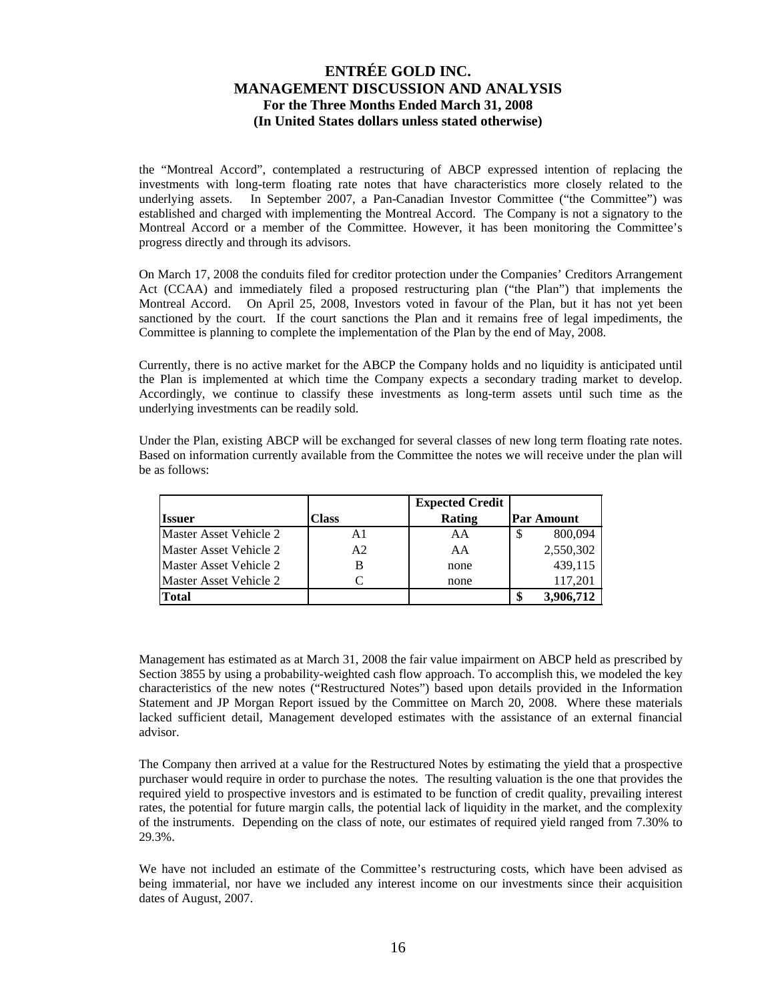the "Montreal Accord", contemplated a restructuring of ABCP expressed intention of replacing the investments with long-term floating rate notes that have characteristics more closely related to the underlying assets. In September 2007, a Pan-Canadian Investor Committee ("the Committee") was established and charged with implementing the Montreal Accord. The Company is not a signatory to the Montreal Accord or a member of the Committee. However, it has been monitoring the Committee's progress directly and through its advisors.

On March 17, 2008 the conduits filed for creditor protection under the Companies' Creditors Arrangement Act (CCAA) and immediately filed a proposed restructuring plan ("the Plan") that implements the Montreal Accord. On April 25, 2008, Investors voted in favour of the Plan, but it has not yet been sanctioned by the court. If the court sanctions the Plan and it remains free of legal impediments, the Committee is planning to complete the implementation of the Plan by the end of May, 2008.

Currently, there is no active market for the ABCP the Company holds and no liquidity is anticipated until the Plan is implemented at which time the Company expects a secondary trading market to develop. Accordingly, we continue to classify these investments as long-term assets until such time as the underlying investments can be readily sold.

Under the Plan, existing ABCP will be exchanged for several classes of new long term floating rate notes. Based on information currently available from the Committee the notes we will receive under the plan will be as follows:

|                        |                | <b>Expected Credit</b> |                   |
|------------------------|----------------|------------------------|-------------------|
| <b>Issuer</b>          | Class          | Rating                 | <b>Par Amount</b> |
| Master Asset Vehicle 2 | A1             | AA                     | 800,094<br>S      |
| Master Asset Vehicle 2 | A <sub>2</sub> | AA                     | 2,550,302         |
| Master Asset Vehicle 2 |                | none                   | 439,115           |
| Master Asset Vehicle 2 |                | none                   | 117.201           |
| <b>Total</b>           |                |                        | 3,906,712<br>\$   |

Management has estimated as at March 31, 2008 the fair value impairment on ABCP held as prescribed by Section 3855 by using a probability-weighted cash flow approach. To accomplish this, we modeled the key characteristics of the new notes ("Restructured Notes") based upon details provided in the Information Statement and JP Morgan Report issued by the Committee on March 20, 2008. Where these materials lacked sufficient detail, Management developed estimates with the assistance of an external financial advisor.

The Company then arrived at a value for the Restructured Notes by estimating the yield that a prospective purchaser would require in order to purchase the notes. The resulting valuation is the one that provides the required yield to prospective investors and is estimated to be function of credit quality, prevailing interest rates, the potential for future margin calls, the potential lack of liquidity in the market, and the complexity of the instruments. Depending on the class of note, our estimates of required yield ranged from 7.30% to 29.3%.

We have not included an estimate of the Committee's restructuring costs, which have been advised as being immaterial, nor have we included any interest income on our investments since their acquisition dates of August, 2007.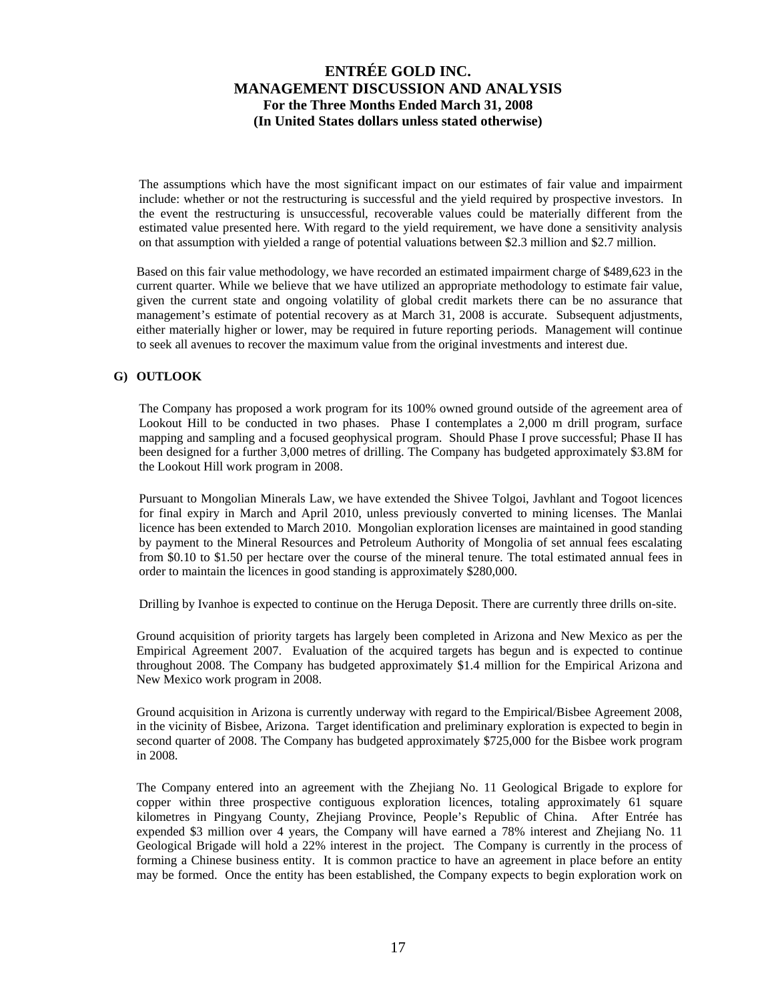The assumptions which have the most significant impact on our estimates of fair value and impairment include: whether or not the restructuring is successful and the yield required by prospective investors. In the event the restructuring is unsuccessful, recoverable values could be materially different from the estimated value presented here. With regard to the yield requirement, we have done a sensitivity analysis on that assumption with yielded a range of potential valuations between \$2.3 million and \$2.7 million.

Based on this fair value methodology, we have recorded an estimated impairment charge of \$489,623 in the current quarter. While we believe that we have utilized an appropriate methodology to estimate fair value, given the current state and ongoing volatility of global credit markets there can be no assurance that management's estimate of potential recovery as at March 31, 2008 is accurate. Subsequent adjustments, either materially higher or lower, may be required in future reporting periods. Management will continue to seek all avenues to recover the maximum value from the original investments and interest due.

### **G) OUTLOOK**

The Company has proposed a work program for its 100% owned ground outside of the agreement area of Lookout Hill to be conducted in two phases. Phase I contemplates a 2,000 m drill program, surface mapping and sampling and a focused geophysical program. Should Phase I prove successful; Phase II has been designed for a further 3,000 metres of drilling. The Company has budgeted approximately \$3.8M for the Lookout Hill work program in 2008.

Pursuant to Mongolian Minerals Law, we have extended the Shivee Tolgoi, Javhlant and Togoot licences for final expiry in March and April 2010, unless previously converted to mining licenses. The Manlai licence has been extended to March 2010. Mongolian exploration licenses are maintained in good standing by payment to the Mineral Resources and Petroleum Authority of Mongolia of set annual fees escalating from \$0.10 to \$1.50 per hectare over the course of the mineral tenure. The total estimated annual fees in order to maintain the licences in good standing is approximately \$280,000.

Drilling by Ivanhoe is expected to continue on the Heruga Deposit. There are currently three drills on-site.

Ground acquisition of priority targets has largely been completed in Arizona and New Mexico as per the Empirical Agreement 2007. Evaluation of the acquired targets has begun and is expected to continue throughout 2008. The Company has budgeted approximately \$1.4 million for the Empirical Arizona and New Mexico work program in 2008.

Ground acquisition in Arizona is currently underway with regard to the Empirical/Bisbee Agreement 2008, in the vicinity of Bisbee, Arizona. Target identification and preliminary exploration is expected to begin in second quarter of 2008. The Company has budgeted approximately \$725,000 for the Bisbee work program in 2008.

The Company entered into an agreement with the Zhejiang No. 11 Geological Brigade to explore for copper within three prospective contiguous exploration licences, totaling approximately 61 square kilometres in Pingyang County, Zhejiang Province, People's Republic of China. After Entrée has expended \$3 million over 4 years, the Company will have earned a 78% interest and Zhejiang No. 11 Geological Brigade will hold a 22% interest in the project. The Company is currently in the process of forming a Chinese business entity. It is common practice to have an agreement in place before an entity may be formed. Once the entity has been established, the Company expects to begin exploration work on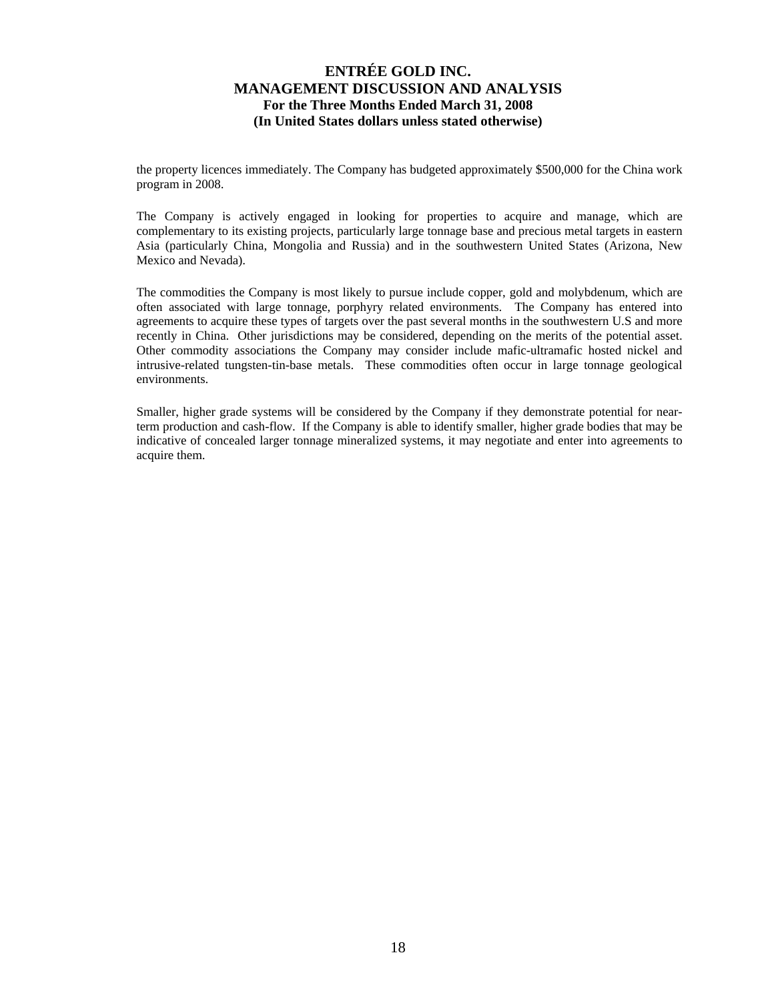the property licences immediately. The Company has budgeted approximately \$500,000 for the China work program in 2008.

The Company is actively engaged in looking for properties to acquire and manage, which are complementary to its existing projects, particularly large tonnage base and precious metal targets in eastern Asia (particularly China, Mongolia and Russia) and in the southwestern United States (Arizona, New Mexico and Nevada).

The commodities the Company is most likely to pursue include copper, gold and molybdenum, which are often associated with large tonnage, porphyry related environments. The Company has entered into agreements to acquire these types of targets over the past several months in the southwestern U.S and more recently in China. Other jurisdictions may be considered, depending on the merits of the potential asset. Other commodity associations the Company may consider include mafic-ultramafic hosted nickel and intrusive-related tungsten-tin-base metals. These commodities often occur in large tonnage geological environments.

Smaller, higher grade systems will be considered by the Company if they demonstrate potential for nearterm production and cash-flow. If the Company is able to identify smaller, higher grade bodies that may be indicative of concealed larger tonnage mineralized systems, it may negotiate and enter into agreements to acquire them.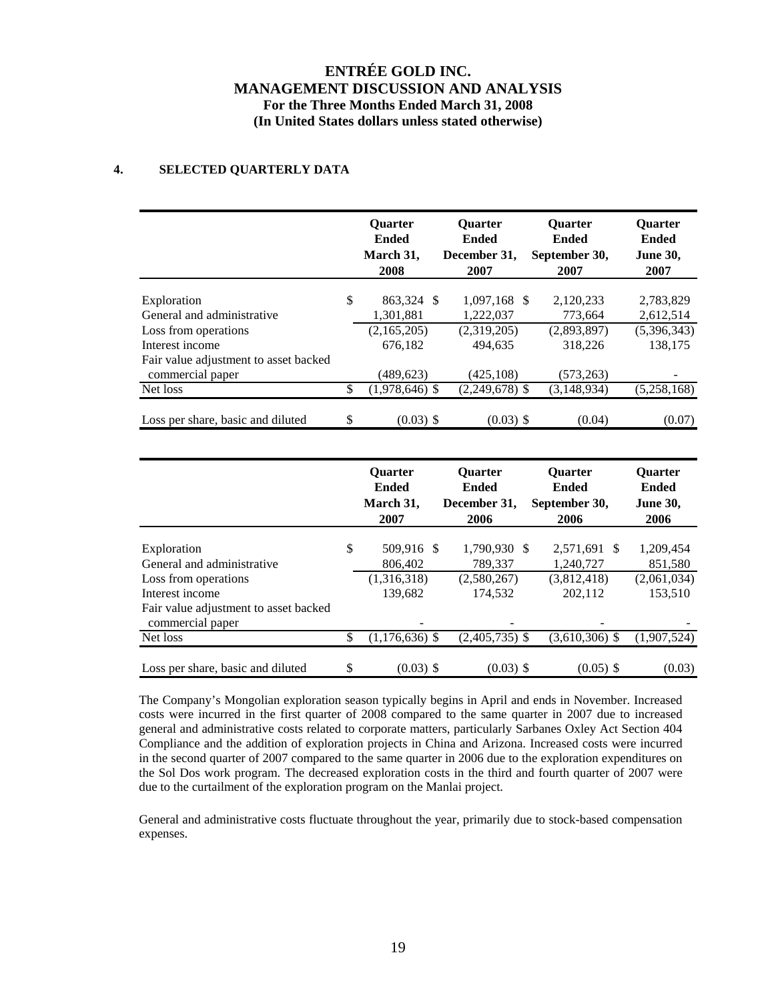### **4. SELECTED QUARTERLY DATA**

|                                           | <b>Ouarter</b><br><b>Ended</b><br>March 31,<br>2008 | <b>Ouarter</b><br><b>Ended</b><br>December 31,<br>2007 | <b>Ouarter</b><br><b>Ended</b><br>September 30,<br>2007 | <b>Ouarter</b><br><b>Ended</b><br><b>June 30,</b><br>2007 |
|-------------------------------------------|-----------------------------------------------------|--------------------------------------------------------|---------------------------------------------------------|-----------------------------------------------------------|
|                                           |                                                     |                                                        |                                                         |                                                           |
| Exploration<br>General and administrative | \$<br>863,324 \$<br>1,301,881                       | 1,097,168 \$<br>1,222,037                              | 2,120,233<br>773,664                                    | 2,783,829<br>2,612,514                                    |
|                                           |                                                     |                                                        |                                                         |                                                           |
| Loss from operations                      | (2,165,205)                                         | (2,319,205)                                            | (2,893,897)                                             | (5,396,343)                                               |
| Interest income                           | 676.182                                             | 494.635                                                | 318,226                                                 | 138.175                                                   |
| Fair value adjustment to asset backed     |                                                     |                                                        |                                                         |                                                           |
| commercial paper                          | (489, 623)                                          | (425, 108)                                             | (573, 263)                                              |                                                           |
| Net loss                                  | \$<br>$(1,978,646)$ \$                              | $(2,249,678)$ \$                                       | (3, 148, 934)                                           | (5,258,168)                                               |
|                                           |                                                     |                                                        |                                                         |                                                           |
| Loss per share, basic and diluted         | \$<br>$(0.03)$ \$                                   | $(0.03)$ \$                                            | (0.04)                                                  | (0.07)                                                    |

|                                       | <b>Ouarter</b><br><b>Ended</b><br>March 31,<br>2007 | <b>Ouarter</b><br><b>Ended</b><br>December 31,<br>2006 | <b>Ouarter</b><br><b>Ended</b><br>September 30,<br>2006 | <b>Ouarter</b><br><b>Ended</b><br><b>June 30,</b><br>2006 |
|---------------------------------------|-----------------------------------------------------|--------------------------------------------------------|---------------------------------------------------------|-----------------------------------------------------------|
|                                       |                                                     |                                                        |                                                         |                                                           |
| Exploration                           | \$<br>509,916 \$                                    | 1,790,930 \$                                           | 2,571,691 \$                                            | 1,209,454                                                 |
| General and administrative            | 806,402                                             | 789,337                                                | 1,240,727                                               | 851,580                                                   |
| Loss from operations                  | (1,316,318)                                         | (2,580,267)                                            | (3,812,418)                                             | (2,061,034)                                               |
| Interest income                       | 139.682                                             | 174.532                                                | 202,112                                                 | 153.510                                                   |
| Fair value adjustment to asset backed |                                                     |                                                        |                                                         |                                                           |
| commercial paper                      |                                                     |                                                        |                                                         |                                                           |
| Net loss                              | \$<br>$(1,176,636)$ \$                              | $(2,405,735)$ \$                                       | $(3,610,306)$ \$                                        | (1,907,524)                                               |
|                                       |                                                     |                                                        |                                                         |                                                           |
| Loss per share, basic and diluted     | \$<br>$(0.03)$ \$                                   | $(0.03)$ \$                                            | $(0.05)$ \$                                             | (0.03)                                                    |

The Company's Mongolian exploration season typically begins in April and ends in November. Increased costs were incurred in the first quarter of 2008 compared to the same quarter in 2007 due to increased general and administrative costs related to corporate matters, particularly Sarbanes Oxley Act Section 404 Compliance and the addition of exploration projects in China and Arizona. Increased costs were incurred in the second quarter of 2007 compared to the same quarter in 2006 due to the exploration expenditures on the Sol Dos work program. The decreased exploration costs in the third and fourth quarter of 2007 were due to the curtailment of the exploration program on the Manlai project.

General and administrative costs fluctuate throughout the year, primarily due to stock-based compensation expenses.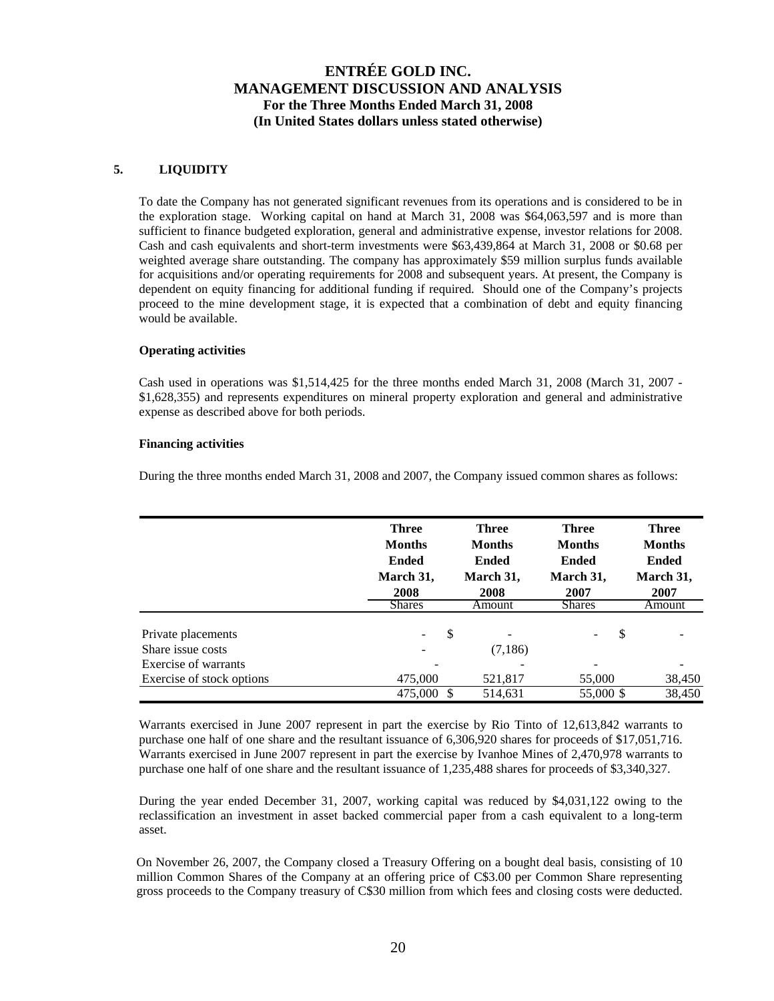### **5. LIQUIDITY**

To date the Company has not generated significant revenues from its operations and is considered to be in the exploration stage. Working capital on hand at March 31, 2008 was \$64,063,597 and is more than sufficient to finance budgeted exploration, general and administrative expense, investor relations for 2008. Cash and cash equivalents and short-term investments were \$63,439,864 at March 31, 2008 or \$0.68 per weighted average share outstanding. The company has approximately \$59 million surplus funds available for acquisitions and/or operating requirements for 2008 and subsequent years. At present, the Company is dependent on equity financing for additional funding if required. Should one of the Company's projects proceed to the mine development stage, it is expected that a combination of debt and equity financing would be available.

### **Operating activities**

Cash used in operations was \$1,514,425 for the three months ended March 31, 2008 (March 31, 2007 - \$1,628,355) and represents expenditures on mineral property exploration and general and administrative expense as described above for both periods.

### **Financing activities**

During the three months ended March 31, 2008 and 2007, the Company issued common shares as follows:

|                                         | <b>Three</b><br><b>Months</b><br><b>Ended</b><br>March 31,<br>2008 | <b>Three</b><br><b>Months</b><br><b>Ended</b><br>March 31,<br>2008 | <b>Three</b><br><b>Months</b><br><b>Ended</b><br>March 31,<br>2007 | <b>Three</b><br><b>Months</b><br><b>Ended</b><br>March 31,<br>2007 |
|-----------------------------------------|--------------------------------------------------------------------|--------------------------------------------------------------------|--------------------------------------------------------------------|--------------------------------------------------------------------|
|                                         | <b>Shares</b>                                                      | Amount                                                             | <b>Shares</b>                                                      | Amount                                                             |
| Private placements<br>Share issue costs | \$                                                                 | (7,186)                                                            | S<br>$\overline{\phantom{a}}$                                      |                                                                    |
| Exercise of warrants                    |                                                                    |                                                                    | $\overline{\phantom{a}}$                                           |                                                                    |
| Exercise of stock options               | 475,000                                                            | 521,817                                                            | 55,000                                                             | 38,450                                                             |
|                                         | 475,000                                                            | 514,631                                                            | 55,000 \$                                                          | 38,450                                                             |

Warrants exercised in June 2007 represent in part the exercise by Rio Tinto of 12,613,842 warrants to purchase one half of one share and the resultant issuance of 6,306,920 shares for proceeds of \$17,051,716. Warrants exercised in June 2007 represent in part the exercise by Ivanhoe Mines of 2,470,978 warrants to purchase one half of one share and the resultant issuance of 1,235,488 shares for proceeds of \$3,340,327.

During the year ended December 31, 2007, working capital was reduced by \$4,031,122 owing to the reclassification an investment in asset backed commercial paper from a cash equivalent to a long-term asset.

On November 26, 2007, the Company closed a Treasury Offering on a bought deal basis, consisting of 10 million Common Shares of the Company at an offering price of C\$3.00 per Common Share representing gross proceeds to the Company treasury of C\$30 million from which fees and closing costs were deducted.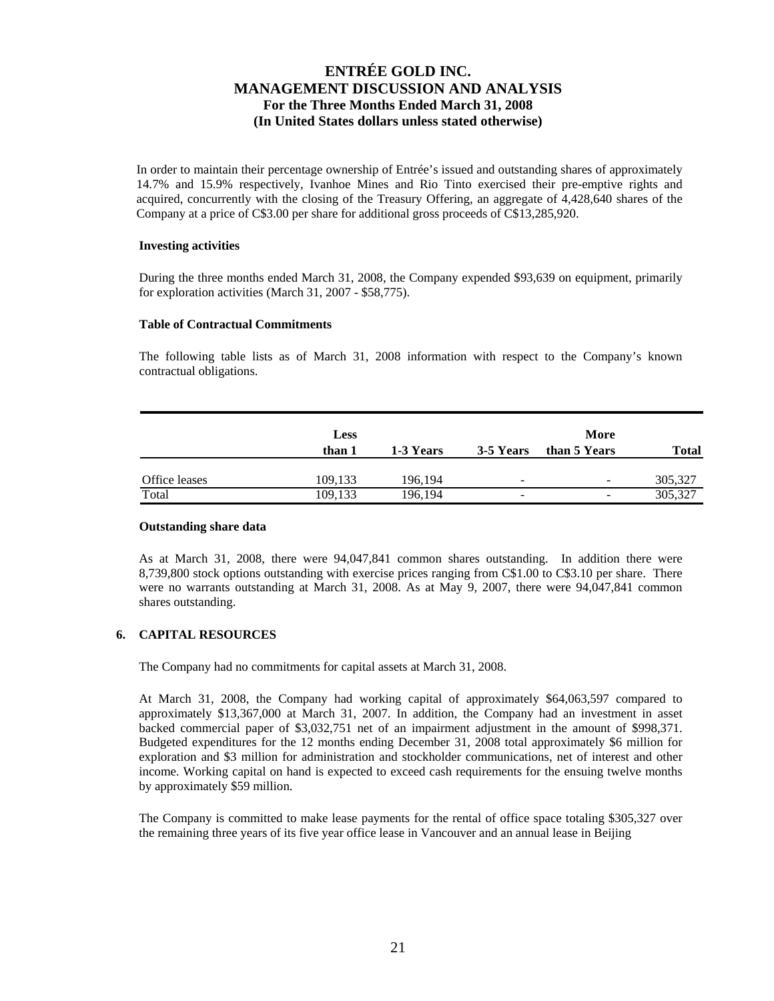In order to maintain their percentage ownership of Entrée's issued and outstanding shares of approximately 14.7% and 15.9% respectively, Ivanhoe Mines and Rio Tinto exercised their pre-emptive rights and acquired, concurrently with the closing of the Treasury Offering, an aggregate of 4,428,640 shares of the Company at a price of C\$3.00 per share for additional gross proceeds of C\$13,285,920.

#### **Investing activities**

During the three months ended March 31, 2008, the Company expended \$93,639 on equipment, primarily for exploration activities (March 31, 2007 - \$58,775).

#### **Table of Contractual Commitments**

The following table lists as of March 31, 2008 information with respect to the Company's known contractual obligations.

|               | <b>Less</b> |           |           | More                     |         |
|---------------|-------------|-----------|-----------|--------------------------|---------|
|               | than 1      | 1-3 Years | 3-5 Years | than 5 Years             | Total   |
| Office leases | 109,133     | 196,194   | -         | $\overline{\phantom{a}}$ | 305,327 |
| Total         | 109.133     | 196,194   | -         | -                        | 305,327 |

#### **Outstanding share data**

As at March 31, 2008, there were 94,047,841 common shares outstanding. In addition there were 8,739,800 stock options outstanding with exercise prices ranging from C\$1.00 to C\$3.10 per share. There were no warrants outstanding at March 31, 2008. As at May 9, 2007, there were 94,047,841 common shares outstanding.

### **6. CAPITAL RESOURCES**

The Company had no commitments for capital assets at March 31, 2008.

At March 31, 2008, the Company had working capital of approximately \$64,063,597 compared to approximately \$13,367,000 at March 31, 2007. In addition, the Company had an investment in asset backed commercial paper of \$3,032,751 net of an impairment adjustment in the amount of \$998,371. Budgeted expenditures for the 12 months ending December 31, 2008 total approximately \$6 million for exploration and \$3 million for administration and stockholder communications, net of interest and other income. Working capital on hand is expected to exceed cash requirements for the ensuing twelve months by approximately \$59 million.

The Company is committed to make lease payments for the rental of office space totaling \$305,327 over the remaining three years of its five year office lease in Vancouver and an annual lease in Beijing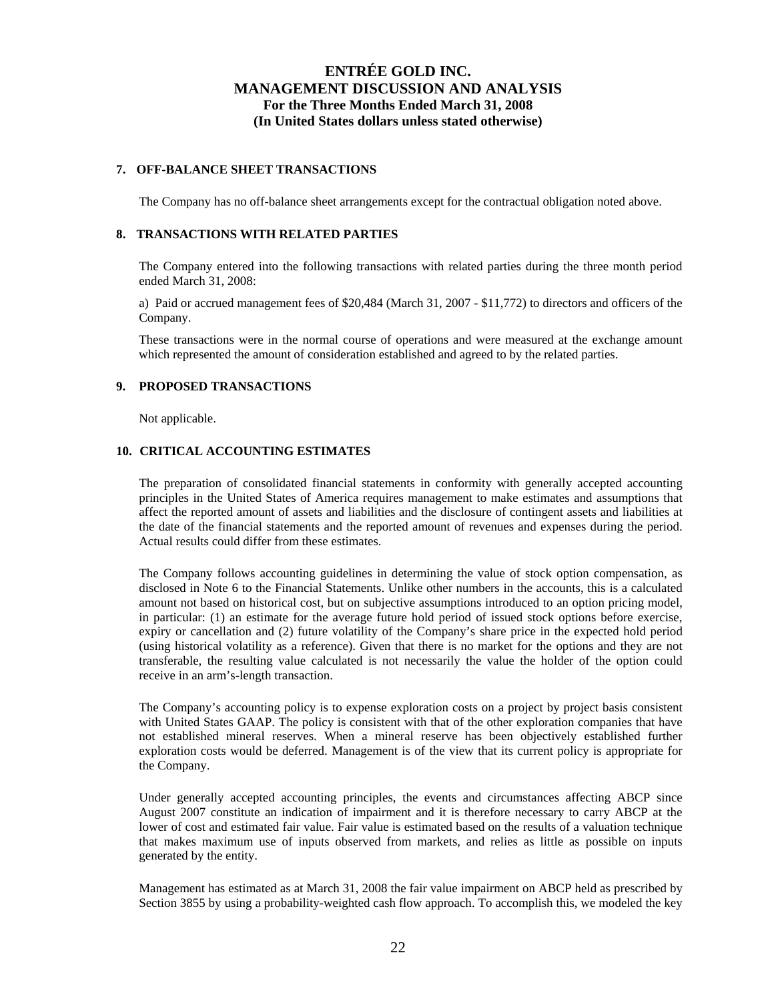#### **7. OFF-BALANCE SHEET TRANSACTIONS**

The Company has no off-balance sheet arrangements except for the contractual obligation noted above.

#### **8. TRANSACTIONS WITH RELATED PARTIES**

The Company entered into the following transactions with related parties during the three month period ended March 31, 2008:

a) Paid or accrued management fees of \$20,484 (March 31, 2007 - \$11,772) to directors and officers of the Company.

These transactions were in the normal course of operations and were measured at the exchange amount which represented the amount of consideration established and agreed to by the related parties.

### **9. PROPOSED TRANSACTIONS**

Not applicable.

### **10. CRITICAL ACCOUNTING ESTIMATES**

The preparation of consolidated financial statements in conformity with generally accepted accounting principles in the United States of America requires management to make estimates and assumptions that affect the reported amount of assets and liabilities and the disclosure of contingent assets and liabilities at the date of the financial statements and the reported amount of revenues and expenses during the period. Actual results could differ from these estimates.

The Company follows accounting guidelines in determining the value of stock option compensation, as disclosed in Note 6 to the Financial Statements. Unlike other numbers in the accounts, this is a calculated amount not based on historical cost, but on subjective assumptions introduced to an option pricing model, in particular: (1) an estimate for the average future hold period of issued stock options before exercise, expiry or cancellation and (2) future volatility of the Company's share price in the expected hold period (using historical volatility as a reference). Given that there is no market for the options and they are not transferable, the resulting value calculated is not necessarily the value the holder of the option could receive in an arm's-length transaction.

The Company's accounting policy is to expense exploration costs on a project by project basis consistent with United States GAAP. The policy is consistent with that of the other exploration companies that have not established mineral reserves. When a mineral reserve has been objectively established further exploration costs would be deferred. Management is of the view that its current policy is appropriate for the Company.

Under generally accepted accounting principles, the events and circumstances affecting ABCP since August 2007 constitute an indication of impairment and it is therefore necessary to carry ABCP at the lower of cost and estimated fair value. Fair value is estimated based on the results of a valuation technique that makes maximum use of inputs observed from markets, and relies as little as possible on inputs generated by the entity.

Management has estimated as at March 31, 2008 the fair value impairment on ABCP held as prescribed by Section 3855 by using a probability-weighted cash flow approach. To accomplish this, we modeled the key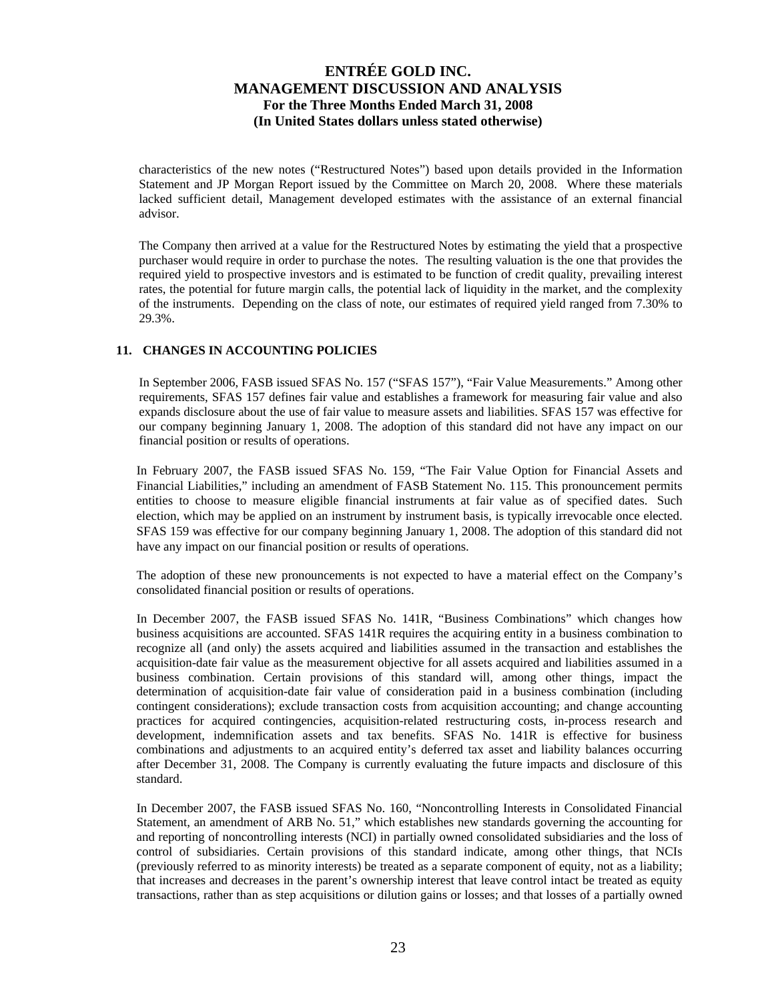characteristics of the new notes ("Restructured Notes") based upon details provided in the Information Statement and JP Morgan Report issued by the Committee on March 20, 2008. Where these materials lacked sufficient detail, Management developed estimates with the assistance of an external financial advisor.

The Company then arrived at a value for the Restructured Notes by estimating the yield that a prospective purchaser would require in order to purchase the notes. The resulting valuation is the one that provides the required yield to prospective investors and is estimated to be function of credit quality, prevailing interest rates, the potential for future margin calls, the potential lack of liquidity in the market, and the complexity of the instruments. Depending on the class of note, our estimates of required yield ranged from 7.30% to 29.3%.

### **11. CHANGES IN ACCOUNTING POLICIES**

In September 2006, FASB issued SFAS No. 157 ("SFAS 157"), "Fair Value Measurements." Among other requirements, SFAS 157 defines fair value and establishes a framework for measuring fair value and also expands disclosure about the use of fair value to measure assets and liabilities. SFAS 157 was effective for our company beginning January 1, 2008. The adoption of this standard did not have any impact on our financial position or results of operations.

In February 2007, the FASB issued SFAS No. 159, "The Fair Value Option for Financial Assets and Financial Liabilities," including an amendment of FASB Statement No. 115. This pronouncement permits entities to choose to measure eligible financial instruments at fair value as of specified dates. Such election, which may be applied on an instrument by instrument basis, is typically irrevocable once elected. SFAS 159 was effective for our company beginning January 1, 2008. The adoption of this standard did not have any impact on our financial position or results of operations.

The adoption of these new pronouncements is not expected to have a material effect on the Company's consolidated financial position or results of operations.

In December 2007, the FASB issued SFAS No. 141R, "Business Combinations" which changes how business acquisitions are accounted. SFAS 141R requires the acquiring entity in a business combination to recognize all (and only) the assets acquired and liabilities assumed in the transaction and establishes the acquisition-date fair value as the measurement objective for all assets acquired and liabilities assumed in a business combination. Certain provisions of this standard will, among other things, impact the determination of acquisition-date fair value of consideration paid in a business combination (including contingent considerations); exclude transaction costs from acquisition accounting; and change accounting practices for acquired contingencies, acquisition-related restructuring costs, in-process research and development, indemnification assets and tax benefits. SFAS No. 141R is effective for business combinations and adjustments to an acquired entity's deferred tax asset and liability balances occurring after December 31, 2008. The Company is currently evaluating the future impacts and disclosure of this standard.

In December 2007, the FASB issued SFAS No. 160, "Noncontrolling Interests in Consolidated Financial Statement, an amendment of ARB No. 51," which establishes new standards governing the accounting for and reporting of noncontrolling interests (NCI) in partially owned consolidated subsidiaries and the loss of control of subsidiaries. Certain provisions of this standard indicate, among other things, that NCIs (previously referred to as minority interests) be treated as a separate component of equity, not as a liability; that increases and decreases in the parent's ownership interest that leave control intact be treated as equity transactions, rather than as step acquisitions or dilution gains or losses; and that losses of a partially owned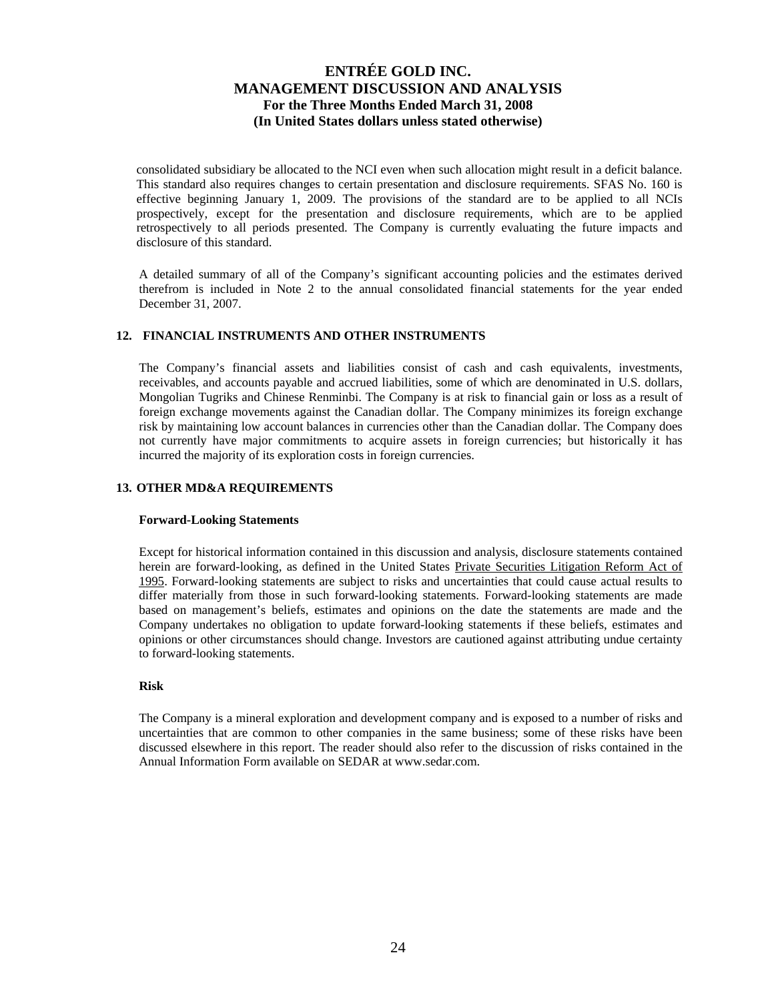consolidated subsidiary be allocated to the NCI even when such allocation might result in a deficit balance. This standard also requires changes to certain presentation and disclosure requirements. SFAS No. 160 is effective beginning January 1, 2009. The provisions of the standard are to be applied to all NCIs prospectively, except for the presentation and disclosure requirements, which are to be applied retrospectively to all periods presented. The Company is currently evaluating the future impacts and disclosure of this standard.

A detailed summary of all of the Company's significant accounting policies and the estimates derived therefrom is included in Note 2 to the annual consolidated financial statements for the year ended December 31, 2007.

### **12. FINANCIAL INSTRUMENTS AND OTHER INSTRUMENTS**

The Company's financial assets and liabilities consist of cash and cash equivalents, investments, receivables, and accounts payable and accrued liabilities, some of which are denominated in U.S. dollars, Mongolian Tugriks and Chinese Renminbi. The Company is at risk to financial gain or loss as a result of foreign exchange movements against the Canadian dollar. The Company minimizes its foreign exchange risk by maintaining low account balances in currencies other than the Canadian dollar. The Company does not currently have major commitments to acquire assets in foreign currencies; but historically it has incurred the majority of its exploration costs in foreign currencies.

### **13. OTHER MD&A REQUIREMENTS**

#### **Forward-Looking Statements**

Except for historical information contained in this discussion and analysis, disclosure statements contained herein are forward-looking, as defined in the United States Private Securities Litigation Reform Act of 1995. Forward-looking statements are subject to risks and uncertainties that could cause actual results to differ materially from those in such forward-looking statements. Forward-looking statements are made based on management's beliefs, estimates and opinions on the date the statements are made and the Company undertakes no obligation to update forward-looking statements if these beliefs, estimates and opinions or other circumstances should change. Investors are cautioned against attributing undue certainty to forward-looking statements.

#### **Risk**

The Company is a mineral exploration and development company and is exposed to a number of risks and uncertainties that are common to other companies in the same business; some of these risks have been discussed elsewhere in this report. The reader should also refer to the discussion of risks contained in the Annual Information Form available on SEDAR at www.sedar.com.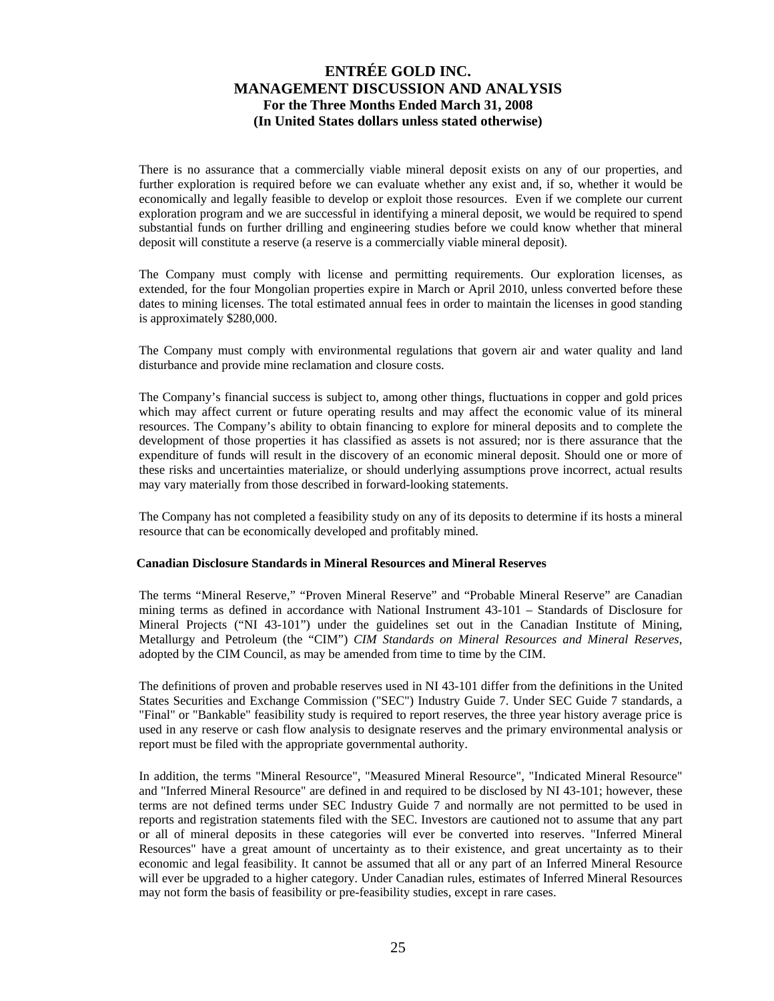There is no assurance that a commercially viable mineral deposit exists on any of our properties, and further exploration is required before we can evaluate whether any exist and, if so, whether it would be economically and legally feasible to develop or exploit those resources. Even if we complete our current exploration program and we are successful in identifying a mineral deposit, we would be required to spend substantial funds on further drilling and engineering studies before we could know whether that mineral deposit will constitute a reserve (a reserve is a commercially viable mineral deposit).

The Company must comply with license and permitting requirements. Our exploration licenses, as extended, for the four Mongolian properties expire in March or April 2010, unless converted before these dates to mining licenses. The total estimated annual fees in order to maintain the licenses in good standing is approximately \$280,000.

The Company must comply with environmental regulations that govern air and water quality and land disturbance and provide mine reclamation and closure costs.

The Company's financial success is subject to, among other things, fluctuations in copper and gold prices which may affect current or future operating results and may affect the economic value of its mineral resources. The Company's ability to obtain financing to explore for mineral deposits and to complete the development of those properties it has classified as assets is not assured; nor is there assurance that the expenditure of funds will result in the discovery of an economic mineral deposit. Should one or more of these risks and uncertainties materialize, or should underlying assumptions prove incorrect, actual results may vary materially from those described in forward-looking statements.

The Company has not completed a feasibility study on any of its deposits to determine if its hosts a mineral resource that can be economically developed and profitably mined.

#### **Canadian Disclosure Standards in Mineral Resources and Mineral Reserves**

The terms "Mineral Reserve," "Proven Mineral Reserve" and "Probable Mineral Reserve" are Canadian mining terms as defined in accordance with National Instrument 43-101 – Standards of Disclosure for Mineral Projects ("NI 43-101") under the guidelines set out in the Canadian Institute of Mining, Metallurgy and Petroleum (the "CIM") *CIM Standards on Mineral Resources and Mineral Reserves*, adopted by the CIM Council, as may be amended from time to time by the CIM.

The definitions of proven and probable reserves used in NI 43-101 differ from the definitions in the United States Securities and Exchange Commission ("SEC") Industry Guide 7. Under SEC Guide 7 standards, a "Final" or "Bankable" feasibility study is required to report reserves, the three year history average price is used in any reserve or cash flow analysis to designate reserves and the primary environmental analysis or report must be filed with the appropriate governmental authority.

In addition, the terms "Mineral Resource", "Measured Mineral Resource", "Indicated Mineral Resource" and "Inferred Mineral Resource" are defined in and required to be disclosed by NI 43-101; however, these terms are not defined terms under SEC Industry Guide 7 and normally are not permitted to be used in reports and registration statements filed with the SEC. Investors are cautioned not to assume that any part or all of mineral deposits in these categories will ever be converted into reserves. "Inferred Mineral Resources" have a great amount of uncertainty as to their existence, and great uncertainty as to their economic and legal feasibility. It cannot be assumed that all or any part of an Inferred Mineral Resource will ever be upgraded to a higher category. Under Canadian rules, estimates of Inferred Mineral Resources may not form the basis of feasibility or pre-feasibility studies, except in rare cases.